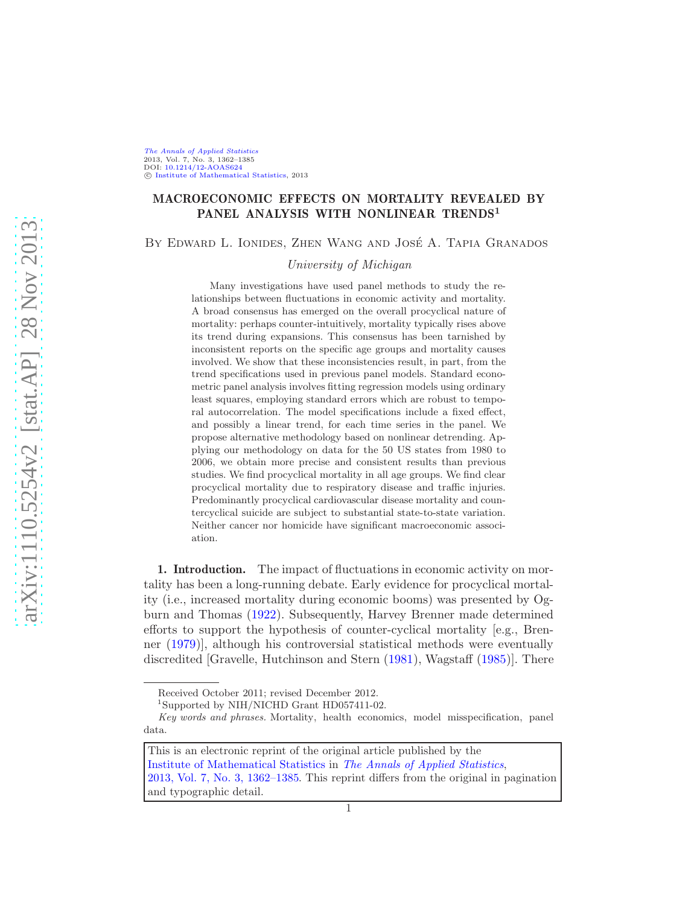[The Annals of Applied Statistics](http://www.imstat.org/aoas/) 2013, Vol. 7, No. 3, 1362–1385 DOI: [10.1214/12-AOAS624](http://dx.doi.org/10.1214/12-AOAS624) C [Institute of Mathematical Statistics,](http://www.imstat.org) 2013

# MACROECONOMIC EFFECTS ON MORTALITY REVEALED BY PANEL ANALYSIS WITH NONLINEAR TRENDS<sup>1</sup>

BY EDWARD L. IONIDES, ZHEN WANG AND JOSÉ A. TAPIA GRANADOS

University of Michigan

Many investigations have used panel methods to study the relationships between fluctuations in economic activity and mortality. A broad consensus has emerged on the overall procyclical nature of mortality: perhaps counter-intuitively, mortality typically rises above its trend during expansions. This consensus has been tarnished by inconsistent reports on the specific age groups and mortality causes involved. We show that these inconsistencies result, in part, from the trend specifications used in previous panel models. Standard econometric panel analysis involves fitting regression models using ordinary least squares, employing standard errors which are robust to temporal autocorrelation. The model specifications include a fixed effect, and possibly a linear trend, for each time series in the panel. We propose alternative methodology based on nonlinear detrending. Applying our methodology on data for the 50 US states from 1980 to 2006, we obtain more precise and consistent results than previous studies. We find procyclical mortality in all age groups. We find clear procyclical mortality due to respiratory disease and traffic injuries. Predominantly procyclical cardiovascular disease mortality and countercyclical suicide are subject to substantial state-to-state variation. Neither cancer nor homicide have significant macroeconomic association.

1. Introduction. The impact of fluctuations in economic activity on mortality has been a long-running debate. Early evidence for procyclical mortality (i.e., increased mortality during economic booms) was presented by Ogburn and Thomas [\(1922\)](#page-24-0). Subsequently, Harvey Brenner made determined efforts to support the hypothesis of counter-cyclical mortality [e.g., Brenner [\(1979](#page-23-0))], although his controversial statistical methods were eventually discredited [Gravelle, Hutchinson and Stern [\(1981](#page-23-1)), Wagstaff [\(1985](#page-25-0))]. There

Received October 2011; revised December 2012.

<sup>1</sup> Supported by NIH/NICHD Grant HD057411-02.

Key words and phrases. Mortality, health economics, model misspecification, panel data.

This is an electronic reprint of the original article published by the [Institute of Mathematical Statistics](http://www.imstat.org) in [The Annals of Applied Statistics](http://www.imstat.org/aoas/), [2013, Vol. 7, No. 3, 1362–1385.](http://dx.doi.org/10.1214/12-AOAS624) This reprint differs from the original in pagination and typographic detail.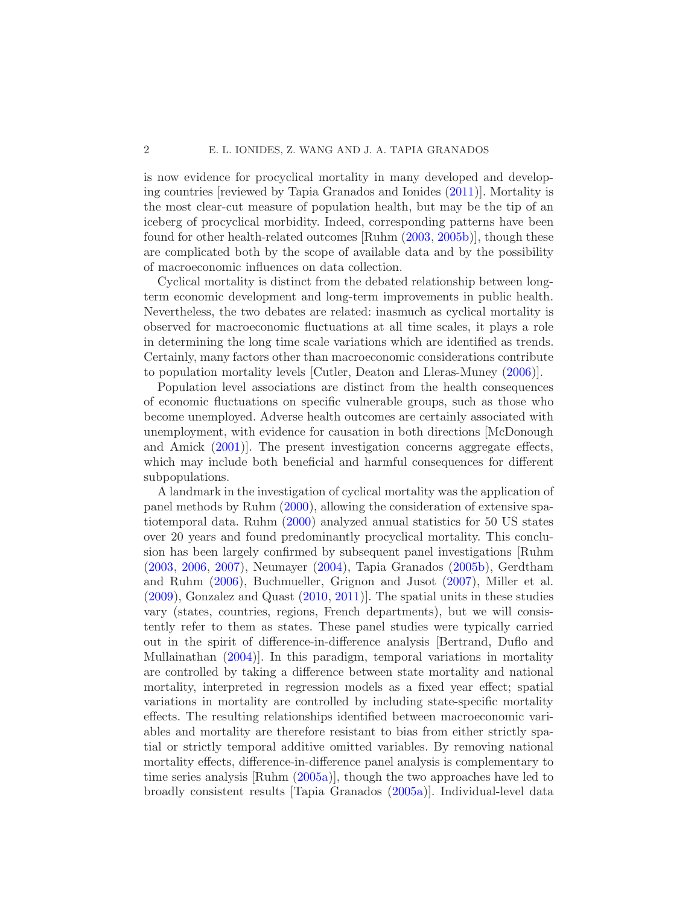is now evidence for procyclical mortality in many developed and developing countries [reviewed by Tapia Granados and Ionides [\(2011](#page-25-1))]. Mortality is the most clear-cut measure of population health, but may be the tip of an iceberg of procyclical morbidity. Indeed, corresponding patterns have been found for other health-related outcomes [Ruhm [\(2003,](#page-24-1) [2005b\)](#page-24-2)], though these are complicated both by the scope of available data and by the possibility of macroeconomic influences on data collection.

Cyclical mortality is distinct from the debated relationship between longterm economic development and long-term improvements in public health. Nevertheless, the two debates are related: inasmuch as cyclical mortality is observed for macroeconomic fluctuations at all time scales, it plays a role in determining the long time scale variations which are identified as trends. Certainly, many factors other than macroeconomic considerations contribute to population mortality levels [Cutler, Deaton and Lleras-Muney [\(2006](#page-23-2))].

Population level associations are distinct from the health consequences of economic fluctuations on specific vulnerable groups, such as those who become unemployed. Adverse health outcomes are certainly associated with unemployment, with evidence for causation in both directions [McDonough and Amick [\(2001](#page-24-3))]. The present investigation concerns aggregate effects, which may include both beneficial and harmful consequences for different subpopulations.

A landmark in the investigation of cyclical mortality was the application of panel methods by Ruhm [\(2000](#page-24-4)), allowing the consideration of extensive spatiotemporal data. Ruhm [\(2000](#page-24-4)) analyzed annual statistics for 50 US states over 20 years and found predominantly procyclical mortality. This conclusion has been largely confirmed by subsequent panel investigations [Ruhm [\(2003,](#page-24-1) [2006,](#page-24-5) [2007](#page-24-6)), Neumayer [\(2004](#page-24-7)), Tapia Granados [\(2005b](#page-25-2)), Gerdtham and Ruhm [\(2006](#page-23-3)), Buchmueller, Grignon and Jusot [\(2007\)](#page-23-4), Miller et al. [\(2009\)](#page-24-8), Gonzalez and Quast [\(2010](#page-23-5), [2011](#page-23-6))]. The spatial units in these studies vary (states, countries, regions, French departments), but we will consistently refer to them as states. These panel studies were typically carried out in the spirit of difference-in-difference analysis [Bertrand, Duflo and Mullainathan [\(2004\)](#page-23-7)]. In this paradigm, temporal variations in mortality are controlled by taking a difference between state mortality and national mortality, interpreted in regression models as a fixed year effect; spatial variations in mortality are controlled by including state-specific mortality effects. The resulting relationships identified between macroeconomic variables and mortality are therefore resistant to bias from either strictly spatial or strictly temporal additive omitted variables. By removing national mortality effects, difference-in-difference panel analysis is complementary to time series analysis [Ruhm [\(2005a](#page-24-9))], though the two approaches have led to broadly consistent results [Tapia Granados [\(2005a](#page-25-3))]. Individual-level data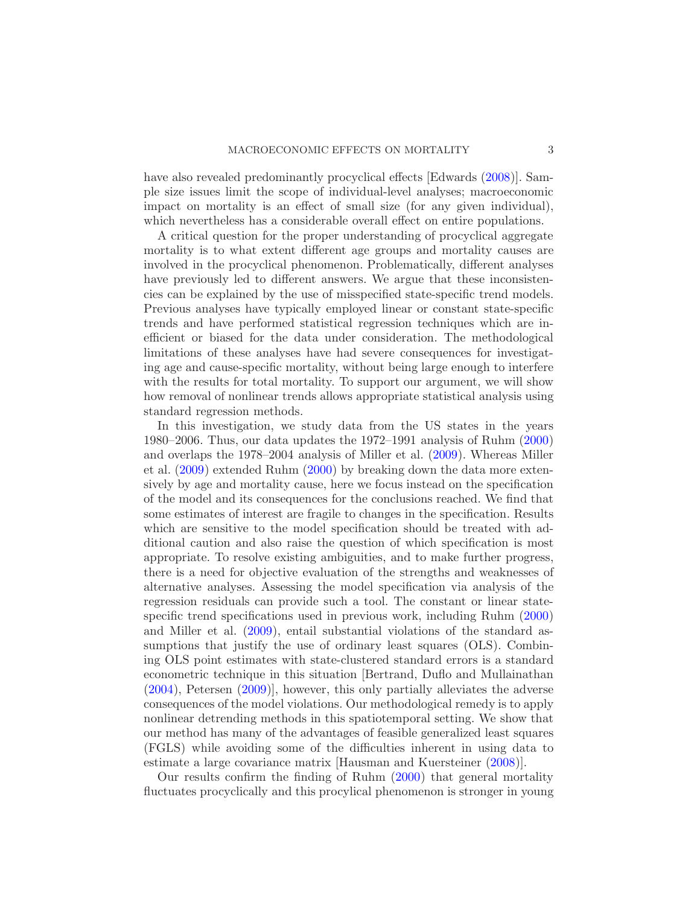have also revealed predominantly procyclical effects [Edwards [\(2008](#page-23-8))]. Sample size issues limit the scope of individual-level analyses; macroeconomic impact on mortality is an effect of small size (for any given individual), which nevertheless has a considerable overall effect on entire populations.

A critical question for the proper understanding of procyclical aggregate mortality is to what extent different age groups and mortality causes are involved in the procyclical phenomenon. Problematically, different analyses have previously led to different answers. We argue that these inconsistencies can be explained by the use of misspecified state-specific trend models. Previous analyses have typically employed linear or constant state-specific trends and have performed statistical regression techniques which are inefficient or biased for the data under consideration. The methodological limitations of these analyses have had severe consequences for investigating age and cause-specific mortality, without being large enough to interfere with the results for total mortality. To support our argument, we will show how removal of nonlinear trends allows appropriate statistical analysis using standard regression methods.

In this investigation, we study data from the US states in the years 1980–2006. Thus, our data updates the 1972–1991 analysis of Ruhm [\(2000](#page-24-4)) and overlaps the 1978–2004 analysis of Miller et al. [\(2009](#page-24-8)). Whereas Miller et al. [\(2009\)](#page-24-8) extended Ruhm [\(2000\)](#page-24-4) by breaking down the data more extensively by age and mortality cause, here we focus instead on the specification of the model and its consequences for the conclusions reached. We find that some estimates of interest are fragile to changes in the specification. Results which are sensitive to the model specification should be treated with additional caution and also raise the question of which specification is most appropriate. To resolve existing ambiguities, and to make further progress, there is a need for objective evaluation of the strengths and weaknesses of alternative analyses. Assessing the model specification via analysis of the regression residuals can provide such a tool. The constant or linear statespecific trend specifications used in previous work, including Ruhm [\(2000](#page-24-4)) and Miller et al. [\(2009](#page-24-8)), entail substantial violations of the standard assumptions that justify the use of ordinary least squares (OLS). Combining OLS point estimates with state-clustered standard errors is a standard econometric technique in this situation [Bertrand, Duflo and Mullainathan [\(2004\)](#page-23-7), Petersen [\(2009](#page-24-10))], however, this only partially alleviates the adverse consequences of the model violations. Our methodological remedy is to apply nonlinear detrending methods in this spatiotemporal setting. We show that our method has many of the advantages of feasible generalized least squares (FGLS) while avoiding some of the difficulties inherent in using data to estimate a large covariance matrix [Hausman and Kuersteiner [\(2008\)](#page-23-9)].

Our results confirm the finding of Ruhm [\(2000](#page-24-4)) that general mortality fluctuates procyclically and this procylical phenomenon is stronger in young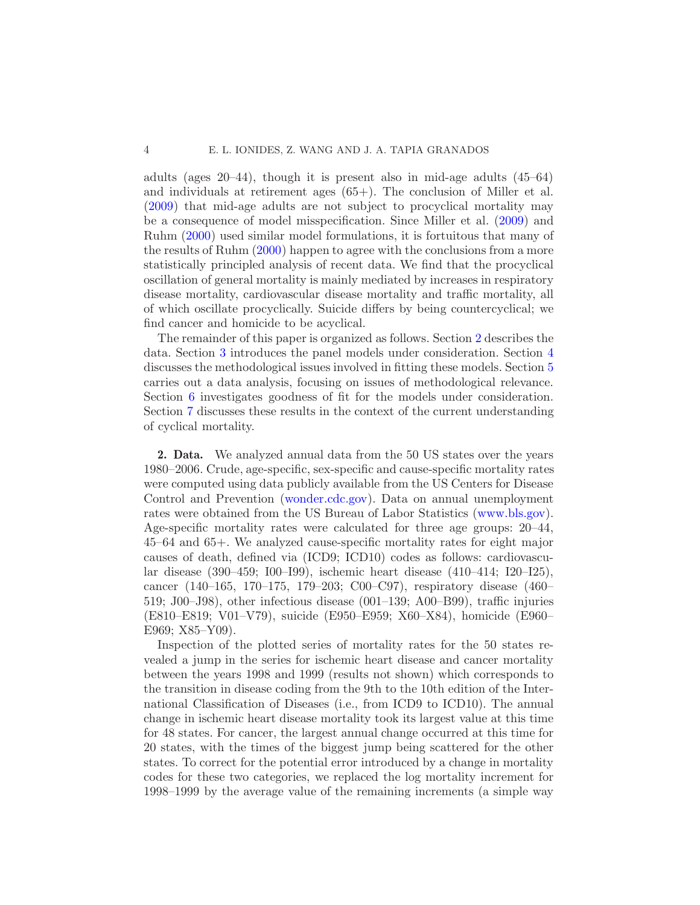adults (ages 20–44), though it is present also in mid-age adults (45–64) and individuals at retirement ages (65+). The conclusion of Miller et al. [\(2009\)](#page-24-8) that mid-age adults are not subject to procyclical mortality may be a consequence of model misspecification. Since Miller et al. [\(2009](#page-24-8)) and Ruhm [\(2000](#page-24-4)) used similar model formulations, it is fortuitous that many of the results of Ruhm [\(2000](#page-24-4)) happen to agree with the conclusions from a more statistically principled analysis of recent data. We find that the procyclical oscillation of general mortality is mainly mediated by increases in respiratory disease mortality, cardiovascular disease mortality and traffic mortality, all of which oscillate procyclically. Suicide differs by being countercyclical; we find cancer and homicide to be acyclical.

The remainder of this paper is organized as follows. Section [2](#page-3-0) describes the data. Section [3](#page-4-0) introduces the panel models under consideration. Section [4](#page-6-0) discusses the methodological issues involved in fitting these models. Section [5](#page-9-0) carries out a data analysis, focusing on issues of methodological relevance. Section [6](#page-14-0) investigates goodness of fit for the models under consideration. Section [7](#page-18-0) discusses these results in the context of the current understanding of cyclical mortality.

<span id="page-3-0"></span>2. Data. We analyzed annual data from the 50 US states over the years 1980–2006. Crude, age-specific, sex-specific and cause-specific mortality rates were computed using data publicly available from the US Centers for Disease Control and Prevention [\(wonder.cdc.gov\)](http://wonder.cdc.gov). Data on annual unemployment rates were obtained from the US Bureau of Labor Statistics [\(www.bls.gov\)](http://www.bls.gov). Age-specific mortality rates were calculated for three age groups: 20–44, 45–64 and 65+. We analyzed cause-specific mortality rates for eight major causes of death, defined via (ICD9; ICD10) codes as follows: cardiovascular disease (390–459; I00–I99), ischemic heart disease (410–414; I20–I25), cancer (140–165, 170–175, 179–203; C00–C97), respiratory disease (460– 519; J00–J98), other infectious disease (001–139; A00–B99), traffic injuries (E810–E819; V01–V79), suicide (E950–E959; X60–X84), homicide (E960– E969; X85–Y09).

Inspection of the plotted series of mortality rates for the 50 states revealed a jump in the series for ischemic heart disease and cancer mortality between the years 1998 and 1999 (results not shown) which corresponds to the transition in disease coding from the 9th to the 10th edition of the International Classification of Diseases (i.e., from ICD9 to ICD10). The annual change in ischemic heart disease mortality took its largest value at this time for 48 states. For cancer, the largest annual change occurred at this time for 20 states, with the times of the biggest jump being scattered for the other states. To correct for the potential error introduced by a change in mortality codes for these two categories, we replaced the log mortality increment for 1998–1999 by the average value of the remaining increments (a simple way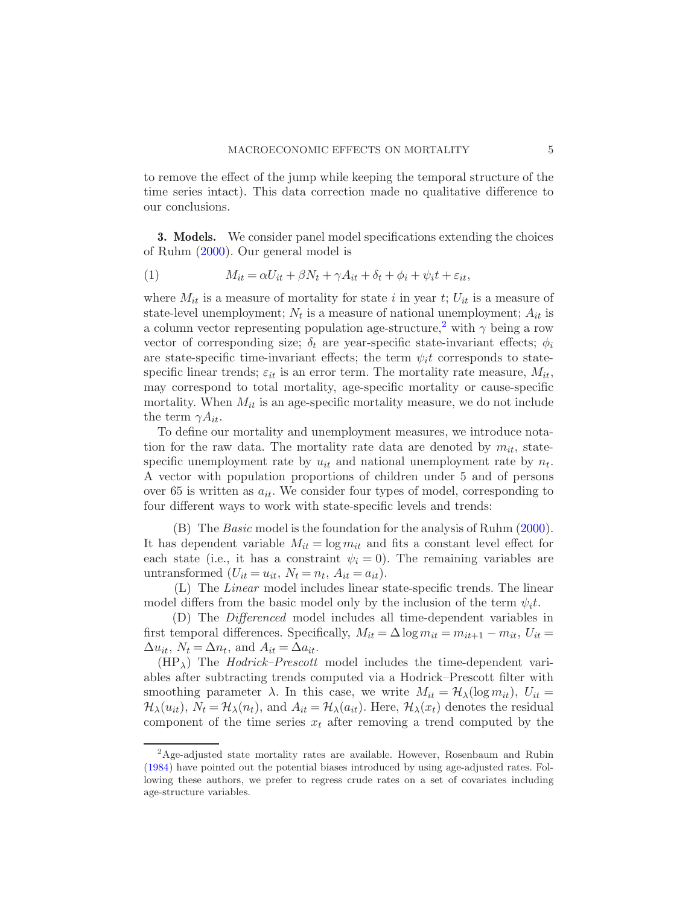to remove the effect of the jump while keeping the temporal structure of the time series intact). This data correction made no qualitative difference to our conclusions.

<span id="page-4-0"></span>**3. Models.** We consider panel model specifications extending the choices of Ruhm [\(2000](#page-24-4)). Our general model is

<span id="page-4-2"></span>(1) 
$$
M_{it} = \alpha U_{it} + \beta N_t + \gamma A_{it} + \delta_t + \phi_i + \psi_i t + \varepsilon_{it},
$$

where  $M_{it}$  is a measure of mortality for state i in year t;  $U_{it}$  is a measure of state-level unemployment;  $N_t$  is a measure of national unemployment;  $A_{it}$  is a column vector representing population age-structure,<sup>[2](#page-4-1)</sup> with  $\gamma$  being a row vector of corresponding size;  $\delta_t$  are year-specific state-invariant effects;  $\phi_i$ are state-specific time-invariant effects; the term  $\psi_i t$  corresponds to statespecific linear trends;  $\varepsilon_{it}$  is an error term. The mortality rate measure,  $M_{it}$ , may correspond to total mortality, age-specific mortality or cause-specific mortality. When  $M_{it}$  is an age-specific mortality measure, we do not include the term  $\gamma A_{it}$ .

To define our mortality and unemployment measures, we introduce notation for the raw data. The mortality rate data are denoted by  $m_{it}$ , statespecific unemployment rate by  $u_{it}$  and national unemployment rate by  $n_t$ . A vector with population proportions of children under 5 and of persons over 65 is written as  $a_{it}$ . We consider four types of model, corresponding to four different ways to work with state-specific levels and trends:

(B) The Basic model is the foundation for the analysis of Ruhm [\(2000](#page-24-4)). It has dependent variable  $M_{it} = \log m_{it}$  and fits a constant level effect for each state (i.e., it has a constraint  $\psi_i = 0$ ). The remaining variables are untransformed  $(U_{it} = u_{it}, N_t = n_t, A_{it} = a_{it}).$ 

(L) The Linear model includes linear state-specific trends. The linear model differs from the basic model only by the inclusion of the term  $\psi_i t$ .

(D) The Differenced model includes all time-dependent variables in first temporal differences. Specifically,  $M_{it} = \Delta \log m_{it} = m_{it+1} - m_{it}$ ,  $U_{it} =$  $\Delta u_{it}$ ,  $N_t = \Delta n_t$ , and  $A_{it} = \Delta a_{it}$ .

 $(HP<sub>\lambda</sub>)$  The *Hodrick–Prescott* model includes the time-dependent variables after subtracting trends computed via a Hodrick–Prescott filter with smoothing parameter  $\lambda$ . In this case, we write  $M_{it} = \mathcal{H}_{\lambda}(\log m_{it}), U_{it} =$  $\mathcal{H}_{\lambda}(u_{it}), N_t = \mathcal{H}_{\lambda}(n_t)$ , and  $A_{it} = \mathcal{H}_{\lambda}(a_{it})$ . Here,  $\mathcal{H}_{\lambda}(x_t)$  denotes the residual component of the time series  $x_t$  after removing a trend computed by the

<span id="page-4-1"></span><sup>2</sup>Age-adjusted state mortality rates are available. However, Rosenbaum and Rubin [\(1984\)](#page-24-11) have pointed out the potential biases introduced by using age-adjusted rates. Following these authors, we prefer to regress crude rates on a set of covariates including age-structure variables.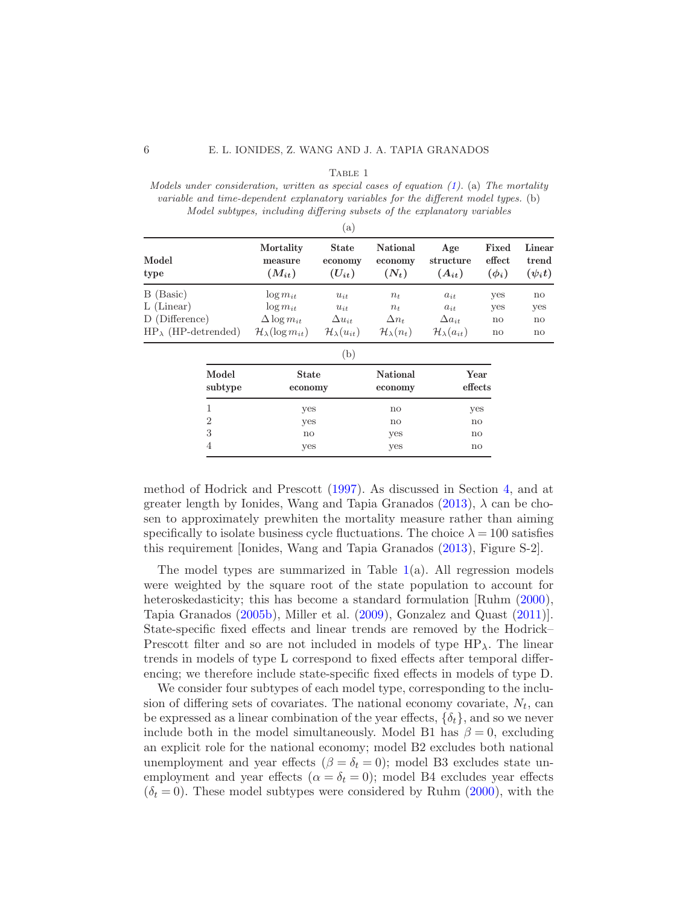|--|--|

<span id="page-5-0"></span>Models under consideration, written as special cases of equation  $(1)$ . (a) The mortality variable and time-dependent explanatory variables for the different model types. (b) Model subtypes, including differing subsets of the explanatory variables

| a)                            |                                      |                                       |                                |                                 |                               |                                 |  |
|-------------------------------|--------------------------------------|---------------------------------------|--------------------------------|---------------------------------|-------------------------------|---------------------------------|--|
| Model<br>type                 | Mortality<br>measure<br>$(M_{it})$   | <b>State</b><br>economy<br>$(U_{it})$ | National<br>economy<br>$(N_t)$ | Age<br>structure<br>$(A_{it})$  | Fixed<br>effect<br>$(\phi_i)$ | Linear<br>trend<br>$(\psi_i t)$ |  |
| B (Basic)                     | $\log m_{it}$                        | $u_{it}$                              | $n_{t}$                        | $a_{it}$                        | yes                           | no                              |  |
| $L$ (Linear)                  | $\log m_{it}$                        | $u_{it}$                              | $n_{t}$                        | $a_{it}$                        | yes                           | yes                             |  |
| D (Difference)                | $\Delta \log m_{it}$                 | $\Delta u_{it}$                       | $\Delta n_t$                   | $\Delta a_{it}$                 | $\mathbf{n}$                  | $\mathbf{n}$                    |  |
| $HP_{\lambda}$ (HP-detrended) | $\mathcal{H}_{\lambda}(\log m_{it})$ | $\mathcal{H}_{\lambda}(u_{it})$       | $\mathcal{H}_{\lambda}(n_t)$   | $\mathcal{H}_{\lambda}(a_{it})$ | $\mathbf{n}$                  | $\mathbf{n}$                    |  |

| , D              |                         |                            |                 |  |  |  |
|------------------|-------------------------|----------------------------|-----------------|--|--|--|
| Model<br>subtype | <b>State</b><br>economy | <b>National</b><br>economy | Year<br>effects |  |  |  |
|                  | yes                     | no                         | yes             |  |  |  |
| $\mathfrak{D}$   | yes                     | no                         | no              |  |  |  |
| 3                | $\mathbf{n}$            | yes                        | $\mathbf{n}$    |  |  |  |
| 4                | yes                     | yes                        | no              |  |  |  |

method of Hodrick and Prescott [\(1997](#page-24-12)). As discussed in Section [4,](#page-6-0) and at greater length by Ionides, Wang and Tapia Granados [\(2013](#page-24-13)),  $\lambda$  can be chosen to approximately prewhiten the mortality measure rather than aiming specifically to isolate business cycle fluctuations. The choice  $\lambda = 100$  satisfies this requirement [Ionides, Wang and Tapia Granados [\(2013](#page-24-13)), Figure S-2].

The model types are summarized in Table  $1(a)$  $1(a)$ . All regression models were weighted by the square root of the state population to account for heteroskedasticity; this has become a standard formulation [Ruhm  $(2000)$ , Tapia Granados [\(2005b](#page-25-2)), Miller et al. [\(2009](#page-24-8)), Gonzalez and Quast [\(2011](#page-23-6))]. State-specific fixed effects and linear trends are removed by the Hodrick– Prescott filter and so are not included in models of type  $HP_\lambda$ . The linear trends in models of type L correspond to fixed effects after temporal differencing; we therefore include state-specific fixed effects in models of type D.

We consider four subtypes of each model type, corresponding to the inclusion of differing sets of covariates. The national economy covariate,  $N_t$ , can be expressed as a linear combination of the year effects,  $\{\delta_t\}$ , and so we never include both in the model simultaneously. Model B1 has  $\beta = 0$ , excluding an explicit role for the national economy; model B2 excludes both national unemployment and year effects ( $\beta = \delta_t = 0$ ); model B3 excludes state unemployment and year effects ( $\alpha = \delta_t = 0$ ); model B4 excludes year effects  $(\delta_t = 0)$ . These model subtypes were considered by Ruhm [\(2000\)](#page-24-4), with the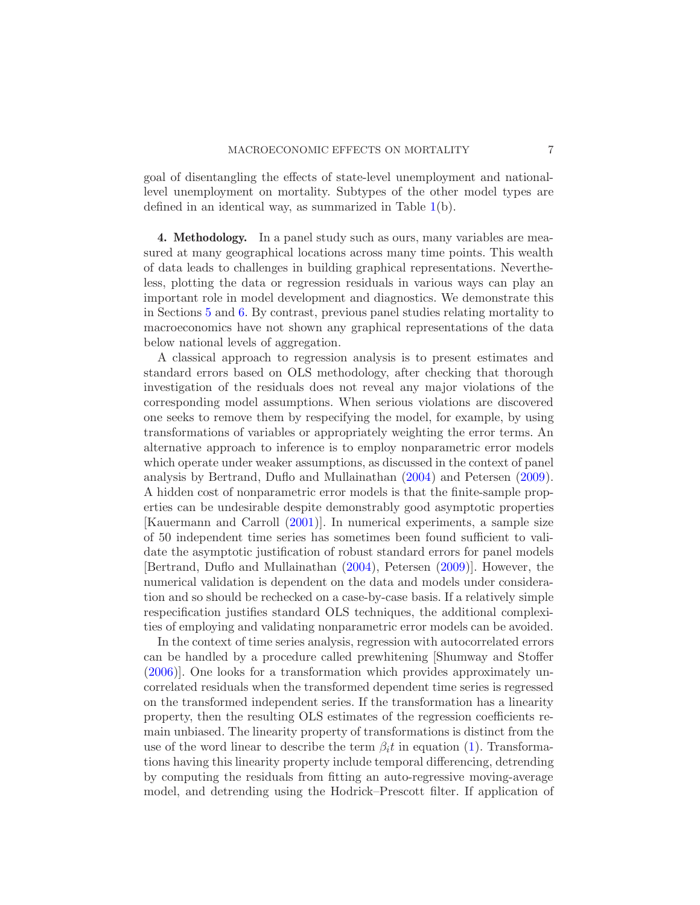goal of disentangling the effects of state-level unemployment and nationallevel unemployment on mortality. Subtypes of the other model types are defined in an identical way, as summarized in Table [1\(](#page-5-0)b).

<span id="page-6-0"></span>4. Methodology. In a panel study such as ours, many variables are measured at many geographical locations across many time points. This wealth of data leads to challenges in building graphical representations. Nevertheless, plotting the data or regression residuals in various ways can play an important role in model development and diagnostics. We demonstrate this in Sections [5](#page-9-0) and [6.](#page-14-0) By contrast, previous panel studies relating mortality to macroeconomics have not shown any graphical representations of the data below national levels of aggregation.

A classical approach to regression analysis is to present estimates and standard errors based on OLS methodology, after checking that thorough investigation of the residuals does not reveal any major violations of the corresponding model assumptions. When serious violations are discovered one seeks to remove them by respecifying the model, for example, by using transformations of variables or appropriately weighting the error terms. An alternative approach to inference is to employ nonparametric error models which operate under weaker assumptions, as discussed in the context of panel analysis by Bertrand, Duflo and Mullainathan [\(2004](#page-23-7)) and Petersen [\(2009](#page-24-10)). A hidden cost of nonparametric error models is that the finite-sample properties can be undesirable despite demonstrably good asymptotic properties [Kauermann and Carroll [\(2001](#page-24-14))]. In numerical experiments, a sample size of 50 independent time series has sometimes been found sufficient to validate the asymptotic justification of robust standard errors for panel models [Bertrand, Duflo and Mullainathan [\(2004\)](#page-23-7), Petersen [\(2009](#page-24-10))]. However, the numerical validation is dependent on the data and models under consideration and so should be rechecked on a case-by-case basis. If a relatively simple respecification justifies standard OLS techniques, the additional complexities of employing and validating nonparametric error models can be avoided.

In the context of time series analysis, regression with autocorrelated errors can be handled by a procedure called prewhitening [Shumway and Stoffer [\(2006\)](#page-24-15)]. One looks for a transformation which provides approximately uncorrelated residuals when the transformed dependent time series is regressed on the transformed independent series. If the transformation has a linearity property, then the resulting OLS estimates of the regression coefficients remain unbiased. The linearity property of transformations is distinct from the use of the word linear to describe the term  $\beta_i t$  in equation [\(1\)](#page-4-2). Transformations having this linearity property include temporal differencing, detrending by computing the residuals from fitting an auto-regressive moving-average model, and detrending using the Hodrick–Prescott filter. If application of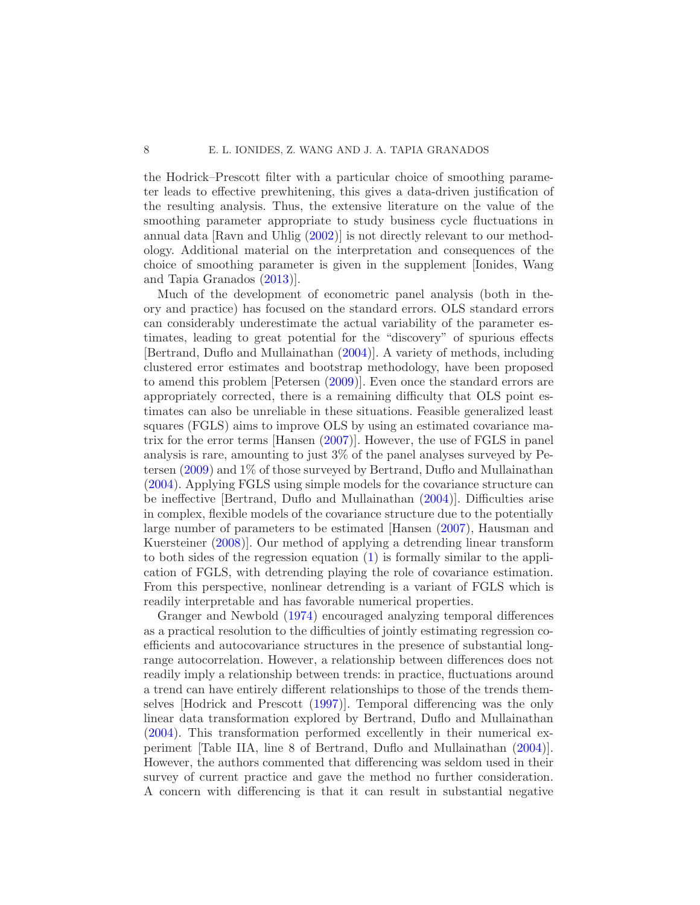the Hodrick–Prescott filter with a particular choice of smoothing parameter leads to effective prewhitening, this gives a data-driven justification of the resulting analysis. Thus, the extensive literature on the value of the smoothing parameter appropriate to study business cycle fluctuations in annual data [Ravn and Uhlig [\(2002](#page-24-16))] is not directly relevant to our methodology. Additional material on the interpretation and consequences of the choice of smoothing parameter is given in the supplement [Ionides, Wang and Tapia Granados [\(2013\)](#page-24-13)].

Much of the development of econometric panel analysis (both in theory and practice) has focused on the standard errors. OLS standard errors can considerably underestimate the actual variability of the parameter estimates, leading to great potential for the "discovery" of spurious effects [Bertrand, Duflo and Mullainathan [\(2004](#page-23-7))]. A variety of methods, including clustered error estimates and bootstrap methodology, have been proposed to amend this problem [Petersen [\(2009\)](#page-24-10)]. Even once the standard errors are appropriately corrected, there is a remaining difficulty that OLS point estimates can also be unreliable in these situations. Feasible generalized least squares (FGLS) aims to improve OLS by using an estimated covariance matrix for the error terms [Hansen [\(2007](#page-23-10))]. However, the use of FGLS in panel analysis is rare, amounting to just 3% of the panel analyses surveyed by Petersen [\(2009](#page-24-10)) and 1% of those surveyed by Bertrand, Duflo and Mullainathan [\(2004\)](#page-23-7). Applying FGLS using simple models for the covariance structure can be ineffective [Bertrand, Duflo and Mullainathan [\(2004\)](#page-23-7)]. Difficulties arise in complex, flexible models of the covariance structure due to the potentially large number of parameters to be estimated [Hansen [\(2007](#page-23-10)), Hausman and Kuersteiner [\(2008](#page-23-9))]. Our method of applying a detrending linear transform to both sides of the regression equation [\(1\)](#page-4-2) is formally similar to the application of FGLS, with detrending playing the role of covariance estimation. From this perspective, nonlinear detrending is a variant of FGLS which is readily interpretable and has favorable numerical properties.

Granger and Newbold [\(1974\)](#page-23-11) encouraged analyzing temporal differences as a practical resolution to the difficulties of jointly estimating regression coefficients and autocovariance structures in the presence of substantial longrange autocorrelation. However, a relationship between differences does not readily imply a relationship between trends: in practice, fluctuations around a trend can have entirely different relationships to those of the trends themselves [Hodrick and Prescott [\(1997](#page-24-12))]. Temporal differencing was the only linear data transformation explored by Bertrand, Duflo and Mullainathan [\(2004\)](#page-23-7). This transformation performed excellently in their numerical experiment [Table IIA, line 8 of Bertrand, Duflo and Mullainathan [\(2004](#page-23-7))]. However, the authors commented that differencing was seldom used in their survey of current practice and gave the method no further consideration. A concern with differencing is that it can result in substantial negative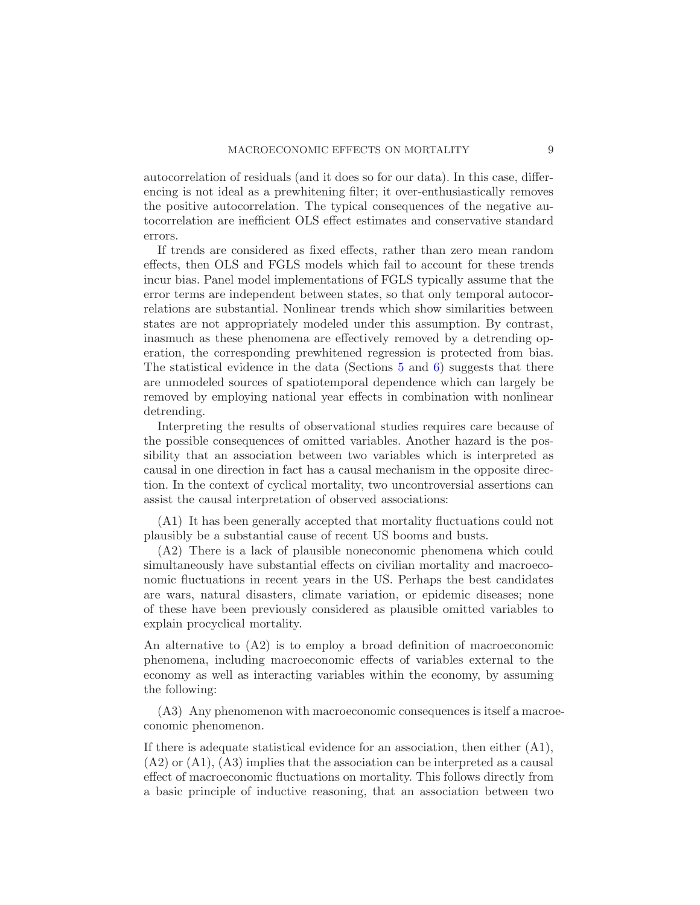autocorrelation of residuals (and it does so for our data). In this case, differencing is not ideal as a prewhitening filter; it over-enthusiastically removes the positive autocorrelation. The typical consequences of the negative autocorrelation are inefficient OLS effect estimates and conservative standard errors.

If trends are considered as fixed effects, rather than zero mean random effects, then OLS and FGLS models which fail to account for these trends incur bias. Panel model implementations of FGLS typically assume that the error terms are independent between states, so that only temporal autocorrelations are substantial. Nonlinear trends which show similarities between states are not appropriately modeled under this assumption. By contrast, inasmuch as these phenomena are effectively removed by a detrending operation, the corresponding prewhitened regression is protected from bias. The statistical evidence in the data (Sections [5](#page-9-0) and [6\)](#page-14-0) suggests that there are unmodeled sources of spatiotemporal dependence which can largely be removed by employing national year effects in combination with nonlinear detrending.

Interpreting the results of observational studies requires care because of the possible consequences of omitted variables. Another hazard is the possibility that an association between two variables which is interpreted as causal in one direction in fact has a causal mechanism in the opposite direction. In the context of cyclical mortality, two uncontroversial assertions can assist the causal interpretation of observed associations:

(A1) It has been generally accepted that mortality fluctuations could not plausibly be a substantial cause of recent US booms and busts.

(A2) There is a lack of plausible noneconomic phenomena which could simultaneously have substantial effects on civilian mortality and macroeconomic fluctuations in recent years in the US. Perhaps the best candidates are wars, natural disasters, climate variation, or epidemic diseases; none of these have been previously considered as plausible omitted variables to explain procyclical mortality.

An alternative to (A2) is to employ a broad definition of macroeconomic phenomena, including macroeconomic effects of variables external to the economy as well as interacting variables within the economy, by assuming the following:

(A3) Any phenomenon with macroeconomic consequences is itself a macroeconomic phenomenon.

If there is adequate statistical evidence for an association, then either (A1),  $(A2)$  or  $(A1)$ ,  $(A3)$  implies that the association can be interpreted as a causal effect of macroeconomic fluctuations on mortality. This follows directly from a basic principle of inductive reasoning, that an association between two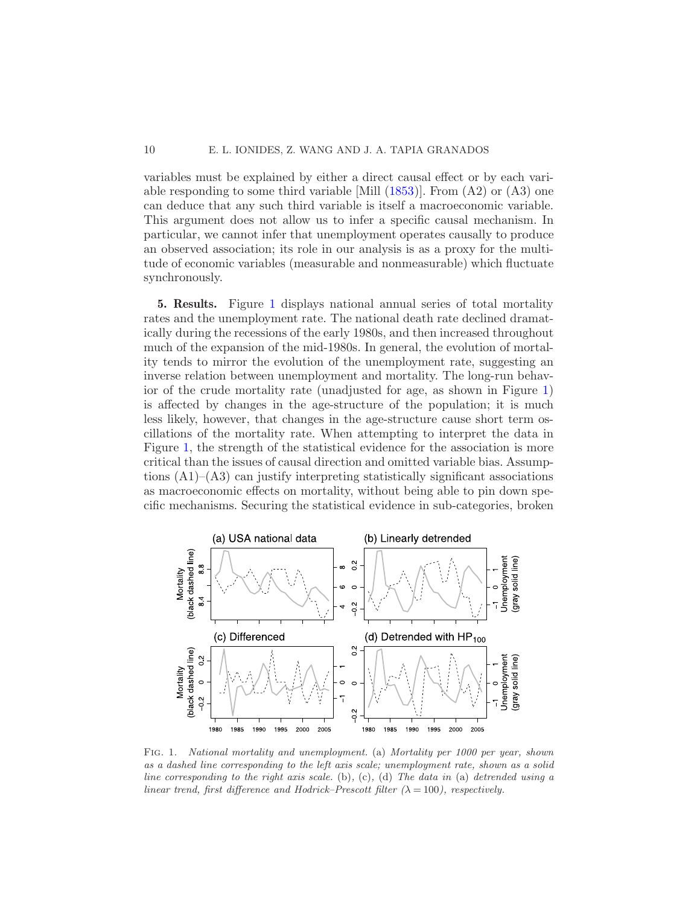# 10 E. L. IONIDES, Z. WANG AND J. A. TAPIA GRANADOS

variables must be explained by either a direct causal effect or by each variable responding to some third variable [Mill  $(1853)$ ]. From  $(A2)$  or  $(A3)$  one can deduce that any such third variable is itself a macroeconomic variable. This argument does not allow us to infer a specific causal mechanism. In particular, we cannot infer that unemployment operates causally to produce an observed association; its role in our analysis is as a proxy for the multitude of economic variables (measurable and nonmeasurable) which fluctuate synchronously.

<span id="page-9-0"></span>5. Results. Figure [1](#page-9-1) displays national annual series of total mortality rates and the unemployment rate. The national death rate declined dramatically during the recessions of the early 1980s, and then increased throughout much of the expansion of the mid-1980s. In general, the evolution of mortality tends to mirror the evolution of the unemployment rate, suggesting an inverse relation between unemployment and mortality. The long-run behavior of the crude mortality rate (unadjusted for age, as shown in Figure [1\)](#page-9-1) is affected by changes in the age-structure of the population; it is much less likely, however, that changes in the age-structure cause short term oscillations of the mortality rate. When attempting to interpret the data in Figure [1,](#page-9-1) the strength of the statistical evidence for the association is more critical than the issues of causal direction and omitted variable bias. Assumptions  $(A1)$ – $(A3)$  can justify interpreting statistically significant associations as macroeconomic effects on mortality, without being able to pin down specific mechanisms. Securing the statistical evidence in sub-categories, broken



<span id="page-9-1"></span>FIG. 1. National mortality and unemployment. (a) Mortality per 1000 per year, shown as a dashed line corresponding to the left axis scale; unemployment rate, shown as a solid line corresponding to the right axis scale. (b), (c), (d) The data in (a) detrended using a linear trend, first difference and Hodrick–Prescott filter  $(\lambda = 100)$ , respectively.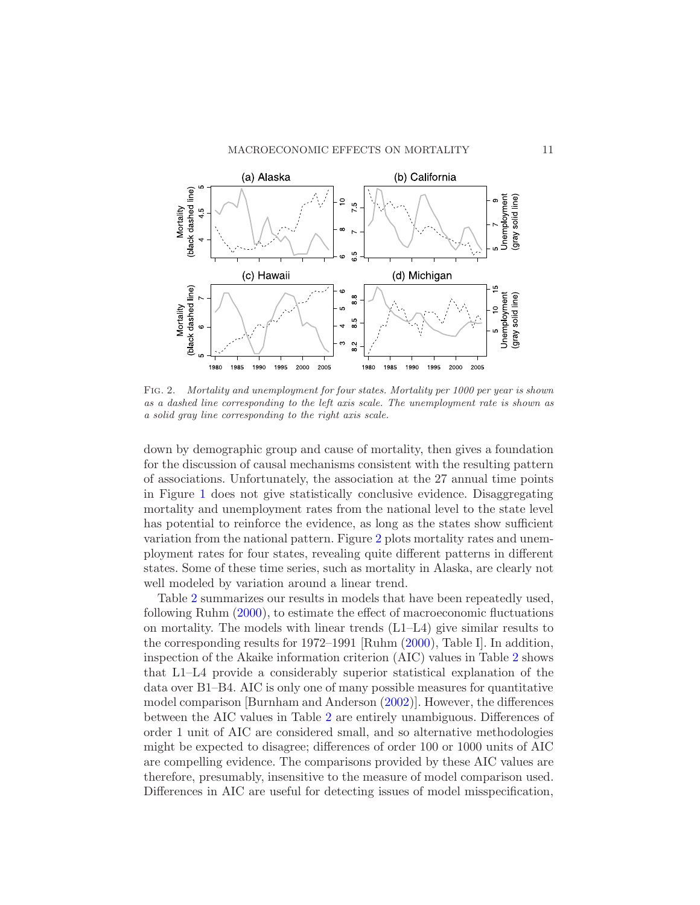

<span id="page-10-0"></span>Fig. 2. Mortality and unemployment for four states. Mortality per 1000 per year is shown as a dashed line corresponding to the left axis scale. The unemployment rate is shown as a solid gray line corresponding to the right axis scale.

down by demographic group and cause of mortality, then gives a foundation for the discussion of causal mechanisms consistent with the resulting pattern of associations. Unfortunately, the association at the 27 annual time points in Figure [1](#page-9-1) does not give statistically conclusive evidence. Disaggregating mortality and unemployment rates from the national level to the state level has potential to reinforce the evidence, as long as the states show sufficient variation from the national pattern. Figure [2](#page-10-0) plots mortality rates and unemployment rates for four states, revealing quite different patterns in different states. Some of these time series, such as mortality in Alaska, are clearly not well modeled by variation around a linear trend.

Table [2](#page-11-0) summarizes our results in models that have been repeatedly used, following Ruhm [\(2000](#page-24-4)), to estimate the effect of macroeconomic fluctuations on mortality. The models with linear trends (L1–L4) give similar results to the corresponding results for 1972–1991 [Ruhm [\(2000](#page-24-4)), Table I]. In addition, inspection of the Akaike information criterion (AIC) values in Table [2](#page-11-0) shows that L1–L4 provide a considerably superior statistical explanation of the data over B1–B4. AIC is only one of many possible measures for quantitative model comparison [Burnham and Anderson [\(2002](#page-23-12))]. However, the differences between the AIC values in Table [2](#page-11-0) are entirely unambiguous. Differences of order 1 unit of AIC are considered small, and so alternative methodologies might be expected to disagree; differences of order 100 or 1000 units of AIC are compelling evidence. The comparisons provided by these AIC values are therefore, presumably, insensitive to the measure of model comparison used. Differences in AIC are useful for detecting issues of model misspecification,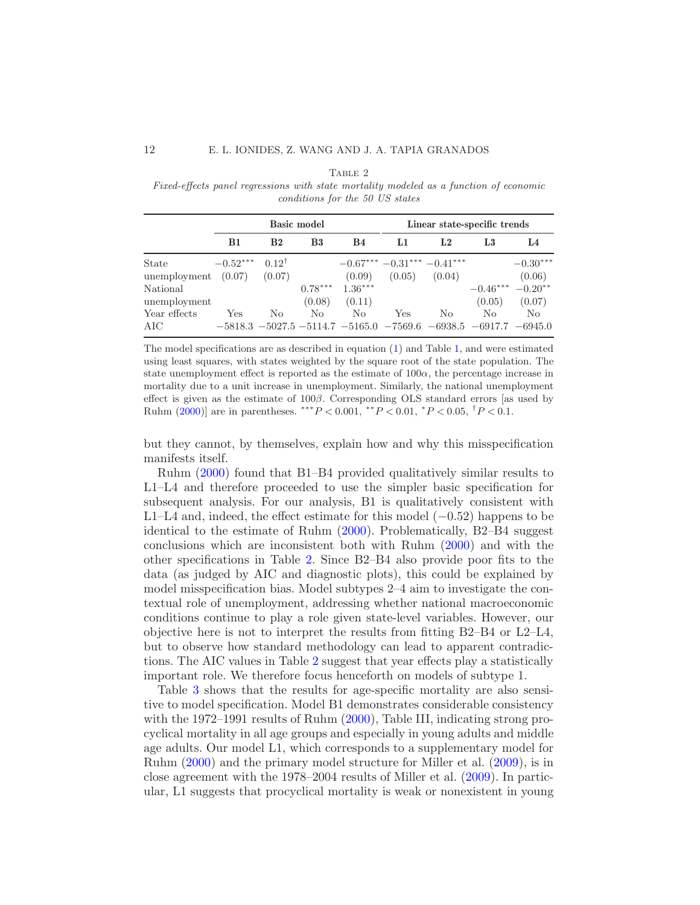#### TABLE 2

<span id="page-11-0"></span>Fixed-effects panel regressions with state mortality modeled as a function of economic conditions for the 50 US states

|              | <b>Basic model</b> |                  |                | Linear state-specific trends |                                  |                |                                                           |                |
|--------------|--------------------|------------------|----------------|------------------------------|----------------------------------|----------------|-----------------------------------------------------------|----------------|
|              | <b>B1</b>          | B <sub>2</sub>   | B <sub>3</sub> | <b>B4</b>                    | L1                               | L <sub>2</sub> | L3                                                        | L4             |
| State        | $-0.52***$         | $0.12^{\dagger}$ |                |                              | $-0.67***$ $-0.31***$ $-0.41***$ |                |                                                           | $-0.30***$     |
| unemployment | (0.07)             | (0.07)           |                | (0.09)                       | (0.05)                           | (0.04)         |                                                           | (0.06)         |
| National     |                    |                  | $0.78***$      | $1.36***$                    |                                  |                | $-0.46***$                                                | $-0.20**$      |
| unemployment |                    |                  | (0.08)         | (0.11)                       |                                  |                | (0.05)                                                    | (0.07)         |
| Year effects | Yes                | N <sub>o</sub>   | No             | No.                          | Yes                              | No             | No.                                                       | N <sub>o</sub> |
| AIC          |                    |                  |                |                              |                                  |                | $-5818.3 -5027.5 -5114.7 -5165.0 -7569.6 -6938.5 -6917.7$ | $-6945.0$      |

The model specifications are as described in equation [\(1\)](#page-4-2) and Table [1,](#page-5-0) and were estimated using least squares, with states weighted by the square root of the state population. The state unemployment effect is reported as the estimate of  $100\alpha$ , the percentage increase in mortality due to a unit increase in unemployment. Similarly, the national unemployment effect is given as the estimate of  $100\beta$ . Corresponding OLS standard errors [as used by Ruhm  $(2000)$ ] are in parentheses. \*\*\* $P < 0.001$ , \*\* $P < 0.01$ , \* $P < 0.05$ ,  $\frac{1}{1}P < 0.1$ .

but they cannot, by themselves, explain how and why this misspecification manifests itself.

Ruhm [\(2000\)](#page-24-4) found that B1–B4 provided qualitatively similar results to L1–L4 and therefore proceeded to use the simpler basic specification for subsequent analysis. For our analysis, B1 is qualitatively consistent with L1–L4 and, indeed, the effect estimate for this model  $(-0.52)$  happens to be identical to the estimate of Ruhm [\(2000\)](#page-24-4). Problematically, B2–B4 suggest conclusions which are inconsistent both with Ruhm [\(2000](#page-24-4)) and with the other specifications in Table [2.](#page-11-0) Since B2–B4 also provide poor fits to the data (as judged by AIC and diagnostic plots), this could be explained by model misspecification bias. Model subtypes 2–4 aim to investigate the contextual role of unemployment, addressing whether national macroeconomic conditions continue to play a role given state-level variables. However, our objective here is not to interpret the results from fitting B2–B4 or L2–L4, but to observe how standard methodology can lead to apparent contradictions. The AIC values in Table [2](#page-11-0) suggest that year effects play a statistically important role. We therefore focus henceforth on models of subtype 1.

Table [3](#page-12-0) shows that the results for age-specific mortality are also sensitive to model specification. Model B1 demonstrates considerable consistency with the 1972–1991 results of Ruhm [\(2000](#page-24-4)), Table III, indicating strong procyclical mortality in all age groups and especially in young adults and middle age adults. Our model L1, which corresponds to a supplementary model for Ruhm [\(2000](#page-24-4)) and the primary model structure for Miller et al. [\(2009\)](#page-24-8), is in close agreement with the 1978–2004 results of Miller et al. [\(2009](#page-24-8)). In particular, L1 suggests that procyclical mortality is weak or nonexistent in young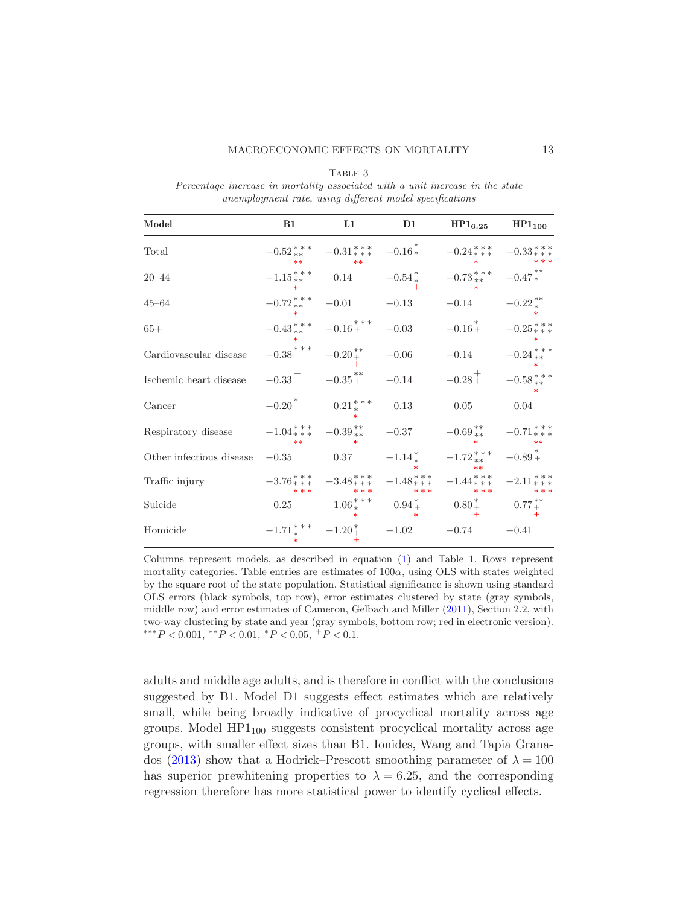<span id="page-12-0"></span>

| Model                                                                                                                                   | B1 and the state of the state of the state of the state of the state of the state of the state of the state of the state of the state of the state of the state of the state of the state of the state of the state of the sta | L1 | D1 | $HP1_{6.25}$                                                                                                                                                                                                                                                            | $HP1_{100}$ |
|-----------------------------------------------------------------------------------------------------------------------------------------|--------------------------------------------------------------------------------------------------------------------------------------------------------------------------------------------------------------------------------|----|----|-------------------------------------------------------------------------------------------------------------------------------------------------------------------------------------------------------------------------------------------------------------------------|-------------|
| Total                                                                                                                                   |                                                                                                                                                                                                                                |    |    | $-0.52^{***}_{**}$ $-0.31^{***}_{***}$ $-0.16^{*}_{*}$ $-0.24^{***}_{**}$ $-0.33^{***}_{**}$                                                                                                                                                                            |             |
| $20 - 44$                                                                                                                               |                                                                                                                                                                                                                                |    |    | $-1.15***$ 0.14 $-0.54*$ $-0.73***$ $-0.47*$                                                                                                                                                                                                                            |             |
| $45 - 64$                                                                                                                               |                                                                                                                                                                                                                                |    |    | $-0.72^{***}_{**}$ $-0.01$ $-0.13$ $-0.14$ $-0.22^{**}_{*}$                                                                                                                                                                                                             |             |
| $65+$                                                                                                                                   |                                                                                                                                                                                                                                |    |    | $-0.43^{***}_{**} \quad -0.16^{***}_{+} \quad -0.03 \qquad \quad -0.16^{*}_{+} \qquad -0.25^{***}_{***}$                                                                                                                                                                |             |
| Cardiovascular disease                                                                                                                  |                                                                                                                                                                                                                                |    |    | $-0.38 \begin{array}{l} * \ * \ * \ -0.20 \end{array} \begin{array}{l} * \\ -0.06 \end{array} \qquad -0.14 \qquad \quad -0.24 \begin{array}{l} * \ * \ * \\ -0.24 \end{array}$                                                                                          |             |
| Ischemic heart disease                                                                                                                  |                                                                                                                                                                                                                                |    |    | $-0.33^{\; + \hspace{1.3cm} -0.35^{\; * \hspace{1.3cm} * \hspace{1.3cm}}} -0.14 \qquad \quad -0.28^{\; + \hspace{1.3cm} -0.58^{\; * \hspace{1.3cm} * \hspace{1.3cm} * \hspace{1.3cm}}} -0.58^{\; * \hspace{1.3cm} * \hspace{1.3cm} * \hspace{1.3cm} * \hspace{1.3cm}}}$ |             |
| $-0.20^*$ $0.21^{***}_{*}$ $0.13$ $0.05$ $0.04$<br>Cancer                                                                               |                                                                                                                                                                                                                                |    |    |                                                                                                                                                                                                                                                                         |             |
| Respiratory disease $-1.04***$ $-0.39***$ $-0.37$ $-0.69***$ $-0.71***$                                                                 |                                                                                                                                                                                                                                |    |    |                                                                                                                                                                                                                                                                         |             |
| Other infectious disease $-0.35$ 0.37 $-1.14 \times 72 \times 74 \times 74 = -0.89 \times 74$                                           |                                                                                                                                                                                                                                |    |    |                                                                                                                                                                                                                                                                         |             |
| Traffic injury $-3.76^{***}_{***}$ $-3.48^{***}_{***}$ $-1.48^{***}_{***}$ $-1.44^{***}_{***}$ $-2.11^{***}_{***}$<br>***<br>***<br>*** |                                                                                                                                                                                                                                |    |    |                                                                                                                                                                                                                                                                         |             |
| Suicide                                                                                                                                 |                                                                                                                                                                                                                                |    |    | 0.25 1.06 <sup>***</sup> 0.94 <sup>*</sup> <sub>*</sub> 0.80 <sup>*</sup> <sub>+</sub> 0.77 <sup>**</sup>                                                                                                                                                               |             |
| Homicide                                                                                                                                |                                                                                                                                                                                                                                |    |    | $-1.71_{\; * \quad * \quad -1.20_{\; + \quad -1.02} \qquad -0.74 \qquad \quad -0.41$                                                                                                                                                                                    |             |

Table 3 Percentage increase in mortality associated with a unit increase in the state unemployment rate, using different model specifications

Columns represent models, as described in equation [\(1\)](#page-4-2) and Table [1.](#page-5-0) Rows represent mortality categories. Table entries are estimates of  $100\alpha$ , using OLS with states weighted by the square root of the state population. Statistical significance is shown using standard OLS errors (black symbols, top row), error estimates clustered by state (gray symbols, middle row) and error estimates of Cameron, Gelbach and Miller [\(2011\)](#page-23-13), Section 2.2, with two-way clustering by state and year (gray symbols, bottom row; red in electronic version).  $*^*P < 0.001, *^*P < 0.01, *P < 0.05, *^*P < 0.1.$ 

adults and middle age adults, and is therefore in conflict with the conclusions suggested by B1. Model D1 suggests effect estimates which are relatively small, while being broadly indicative of procyclical mortality across age groups. Model  $HP1_{100}$  suggests consistent procyclical mortality across age groups, with smaller effect sizes than B1. Ionides, Wang and Tapia Grana-dos [\(2013\)](#page-24-13) show that a Hodrick–Prescott smoothing parameter of  $\lambda = 100$ has superior prewhitening properties to  $\lambda = 6.25$ , and the corresponding regression therefore has more statistical power to identify cyclical effects.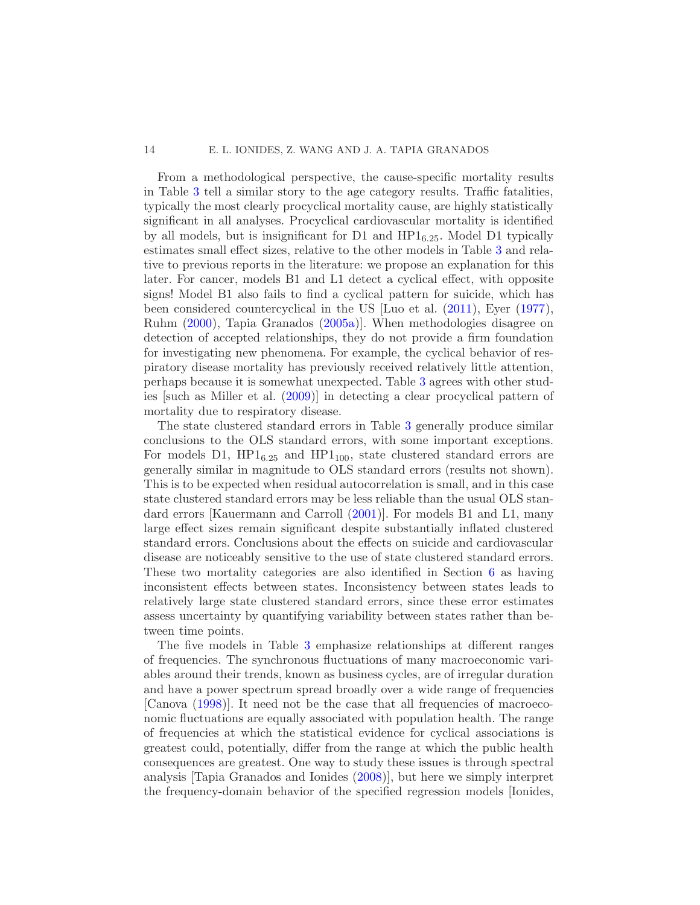### 14 E. L. IONIDES, Z. WANG AND J. A. TAPIA GRANADOS

From a methodological perspective, the cause-specific mortality results in Table [3](#page-12-0) tell a similar story to the age category results. Traffic fatalities, typically the most clearly procyclical mortality cause, are highly statistically significant in all analyses. Procyclical cardiovascular mortality is identified by all models, but is insignificant for D1 and  $HP1_{6.25}$ . Model D1 typically estimates small effect sizes, relative to the other models in Table [3](#page-12-0) and relative to previous reports in the literature: we propose an explanation for this later. For cancer, models B1 and L1 detect a cyclical effect, with opposite signs! Model B1 also fails to find a cyclical pattern for suicide, which has been considered countercyclical in the US [Luo et al. [\(2011](#page-24-18)), Eyer [\(1977](#page-23-14)), Ruhm [\(2000](#page-24-4)), Tapia Granados [\(2005a](#page-25-3))]. When methodologies disagree on detection of accepted relationships, they do not provide a firm foundation for investigating new phenomena. For example, the cyclical behavior of respiratory disease mortality has previously received relatively little attention, perhaps because it is somewhat unexpected. Table [3](#page-12-0) agrees with other studies [such as Miller et al. [\(2009](#page-24-8))] in detecting a clear procyclical pattern of mortality due to respiratory disease.

The state clustered standard errors in Table [3](#page-12-0) generally produce similar conclusions to the OLS standard errors, with some important exceptions. For models D1,  $HP1_{6.25}$  and  $HP1_{100}$ , state clustered standard errors are generally similar in magnitude to OLS standard errors (results not shown). This is to be expected when residual autocorrelation is small, and in this case state clustered standard errors may be less reliable than the usual OLS standard errors [Kauermann and Carroll [\(2001](#page-24-14))]. For models B1 and L1, many large effect sizes remain significant despite substantially inflated clustered standard errors. Conclusions about the effects on suicide and cardiovascular disease are noticeably sensitive to the use of state clustered standard errors. These two mortality categories are also identified in Section [6](#page-14-0) as having inconsistent effects between states. Inconsistency between states leads to relatively large state clustered standard errors, since these error estimates assess uncertainty by quantifying variability between states rather than between time points.

The five models in Table [3](#page-12-0) emphasize relationships at different ranges of frequencies. The synchronous fluctuations of many macroeconomic variables around their trends, known as business cycles, are of irregular duration and have a power spectrum spread broadly over a wide range of frequencies [Canova [\(1998](#page-23-15))]. It need not be the case that all frequencies of macroeconomic fluctuations are equally associated with population health. The range of frequencies at which the statistical evidence for cyclical associations is greatest could, potentially, differ from the range at which the public health consequences are greatest. One way to study these issues is through spectral analysis [Tapia Granados and Ionides [\(2008](#page-25-4))], but here we simply interpret the frequency-domain behavior of the specified regression models [Ionides,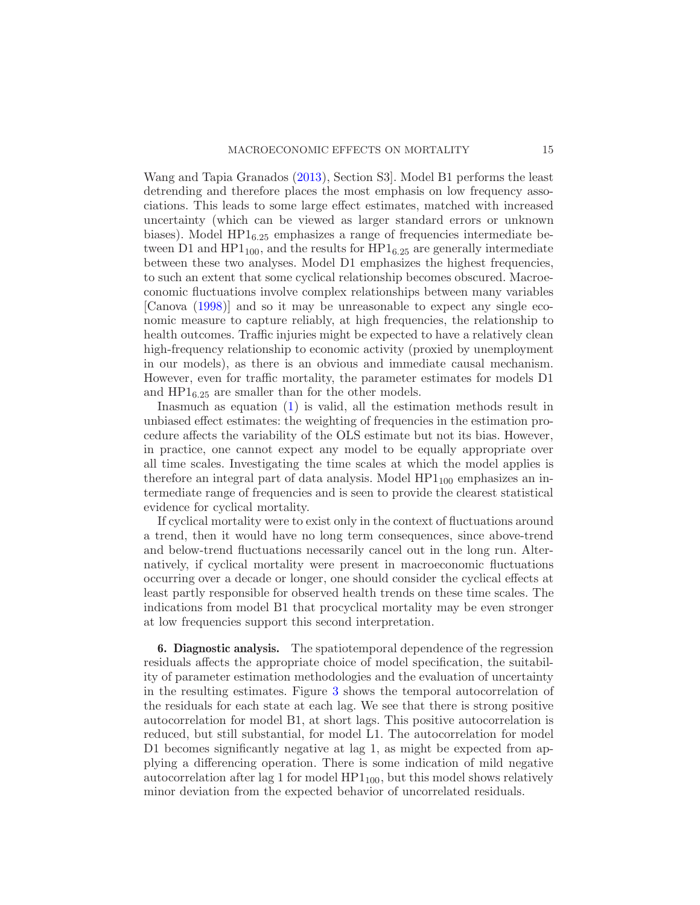Wang and Tapia Granados [\(2013](#page-24-13)), Section S3]. Model B1 performs the least detrending and therefore places the most emphasis on low frequency associations. This leads to some large effect estimates, matched with increased uncertainty (which can be viewed as larger standard errors or unknown biases). Model  $HP1_{6.25}$  emphasizes a range of frequencies intermediate between D1 and  $HP1_{100}$ , and the results for  $HP1_{6.25}$  are generally intermediate between these two analyses. Model D1 emphasizes the highest frequencies, to such an extent that some cyclical relationship becomes obscured. Macroeconomic fluctuations involve complex relationships between many variables [Canova [\(1998\)](#page-23-15)] and so it may be unreasonable to expect any single economic measure to capture reliably, at high frequencies, the relationship to health outcomes. Traffic injuries might be expected to have a relatively clean high-frequency relationship to economic activity (proxied by unemployment in our models), as there is an obvious and immediate causal mechanism. However, even for traffic mortality, the parameter estimates for models D1 and  $HP1_{6.25}$  are smaller than for the other models.

Inasmuch as equation  $(1)$  is valid, all the estimation methods result in unbiased effect estimates: the weighting of frequencies in the estimation procedure affects the variability of the OLS estimate but not its bias. However, in practice, one cannot expect any model to be equally appropriate over all time scales. Investigating the time scales at which the model applies is therefore an integral part of data analysis. Model  $HP1_{100}$  emphasizes an intermediate range of frequencies and is seen to provide the clearest statistical evidence for cyclical mortality.

If cyclical mortality were to exist only in the context of fluctuations around a trend, then it would have no long term consequences, since above-trend and below-trend fluctuations necessarily cancel out in the long run. Alternatively, if cyclical mortality were present in macroeconomic fluctuations occurring over a decade or longer, one should consider the cyclical effects at least partly responsible for observed health trends on these time scales. The indications from model B1 that procyclical mortality may be even stronger at low frequencies support this second interpretation.

<span id="page-14-0"></span>6. Diagnostic analysis. The spatiotemporal dependence of the regression residuals affects the appropriate choice of model specification, the suitability of parameter estimation methodologies and the evaluation of uncertainty in the resulting estimates. Figure [3](#page-15-0) shows the temporal autocorrelation of the residuals for each state at each lag. We see that there is strong positive autocorrelation for model B1, at short lags. This positive autocorrelation is reduced, but still substantial, for model L1. The autocorrelation for model D1 becomes significantly negative at lag 1, as might be expected from applying a differencing operation. There is some indication of mild negative autocorrelation after lag 1 for model  $HP1_{100}$ , but this model shows relatively minor deviation from the expected behavior of uncorrelated residuals.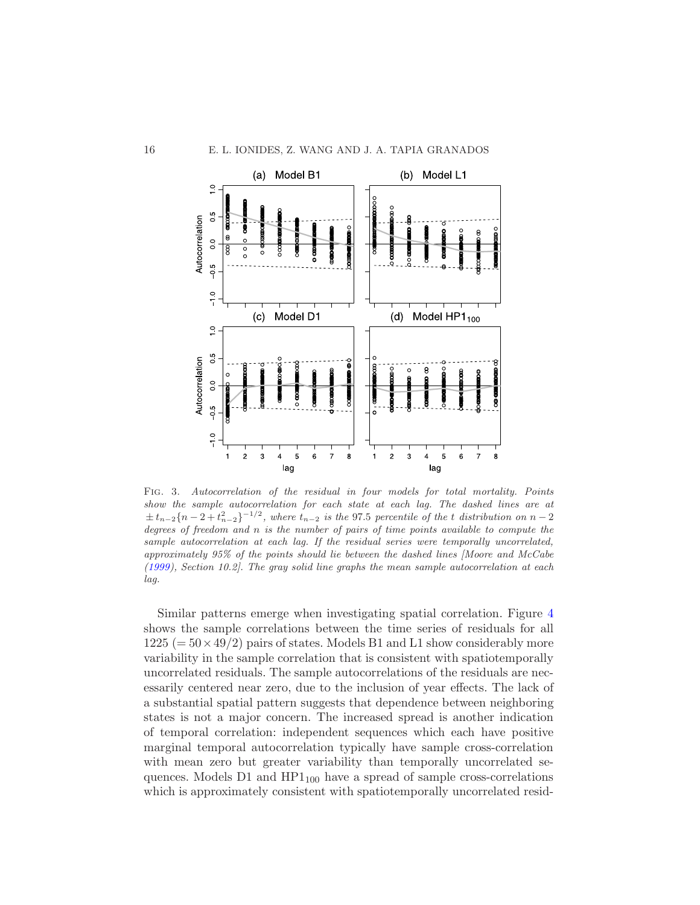

<span id="page-15-0"></span>Fig. 3. Autocorrelation of the residual in four models for total mortality. Points show the sample autocorrelation for each state at each lag. The dashed lines are at  $\pm t_{n-2}$ {n - 2 +  $t_{n-2}$ }<sup>-1/2</sup>, where  $t_{n-2}$  is the 97.5 percentile of the t distribution on n - 2 degrees of freedom and n is the number of pairs of time points available to compute the sample autocorrelation at each lag. If the residual series were temporally uncorrelated, approximately 95% of the points should lie between the dashed lines [Moore and McCabe [\(1999](#page-24-19)), Section 10.2]. The gray solid line graphs the mean sample autocorrelation at each lag.

Similar patterns emerge when investigating spatial correlation. Figure [4](#page-16-0) shows the sample correlations between the time series of residuals for all  $1225 (= 50 \times 49/2)$  pairs of states. Models B1 and L1 show considerably more variability in the sample correlation that is consistent with spatiotemporally uncorrelated residuals. The sample autocorrelations of the residuals are necessarily centered near zero, due to the inclusion of year effects. The lack of a substantial spatial pattern suggests that dependence between neighboring states is not a major concern. The increased spread is another indication of temporal correlation: independent sequences which each have positive marginal temporal autocorrelation typically have sample cross-correlation with mean zero but greater variability than temporally uncorrelated sequences. Models  $D1$  and  $HP1_{100}$  have a spread of sample cross-correlations which is approximately consistent with spatiotemporally uncorrelated resid-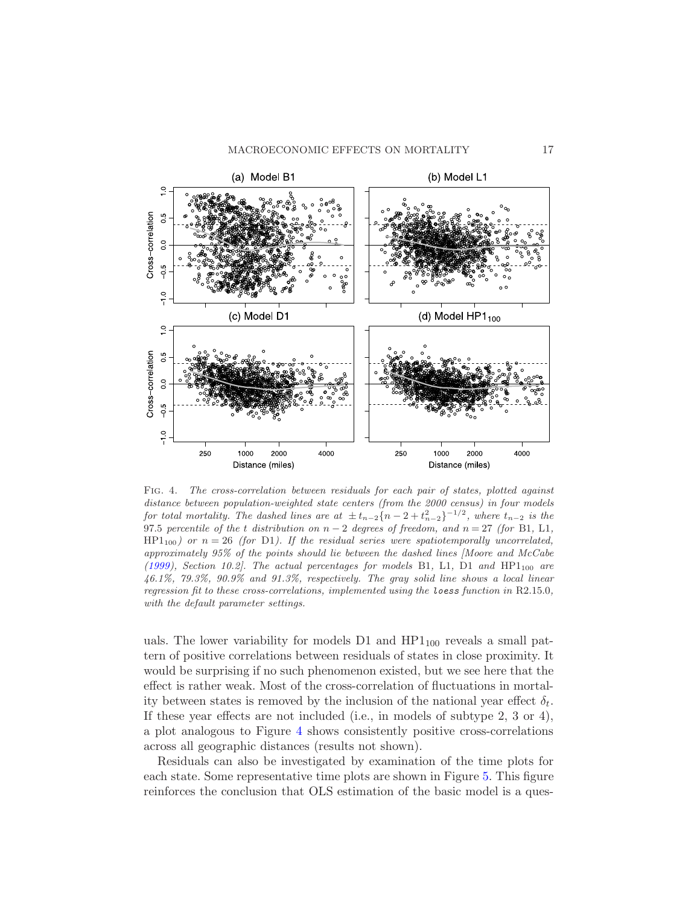

<span id="page-16-0"></span>Fig. 4. The cross-correlation between residuals for each pair of states, plotted against distance between population-weighted state centers (from the 2000 census) in four models for total mortality. The dashed lines are at  $\pm t_{n-2}$ {n - 2 +  $t_{n-2}$ }<sup>-1/2</sup>, where  $t_{n-2}$  is the 97.5 percentile of the t distribution on  $n-2$  degrees of freedom, and  $n = 27$  (for B1, L1,  $HP1_{100}$ ) or  $n = 26$  (for D1). If the residual series were spatiotemporally uncorrelated, approximately 95% of the points should lie between the dashed lines [Moore and McCabe [\(1999](#page-24-19)), Section 10.2]. The actual percentages for models B1, L1, D1 and  $HP1_{100}$  are 46.1%, 79.3%, 90.9% and 91.3%, respectively. The gray solid line shows a local linear regression fit to these cross-correlations, implemented using the loess function in R2.15.0, with the default parameter settings.

uals. The lower variability for models  $D1$  and  $HP1_{100}$  reveals a small pattern of positive correlations between residuals of states in close proximity. It would be surprising if no such phenomenon existed, but we see here that the effect is rather weak. Most of the cross-correlation of fluctuations in mortality between states is removed by the inclusion of the national year effect  $\delta_t$ . If these year effects are not included (i.e., in models of subtype 2, 3 or 4), a plot analogous to Figure [4](#page-16-0) shows consistently positive cross-correlations across all geographic distances (results not shown).

Residuals can also be investigated by examination of the time plots for each state. Some representative time plots are shown in Figure [5.](#page-17-0) This figure reinforces the conclusion that OLS estimation of the basic model is a ques-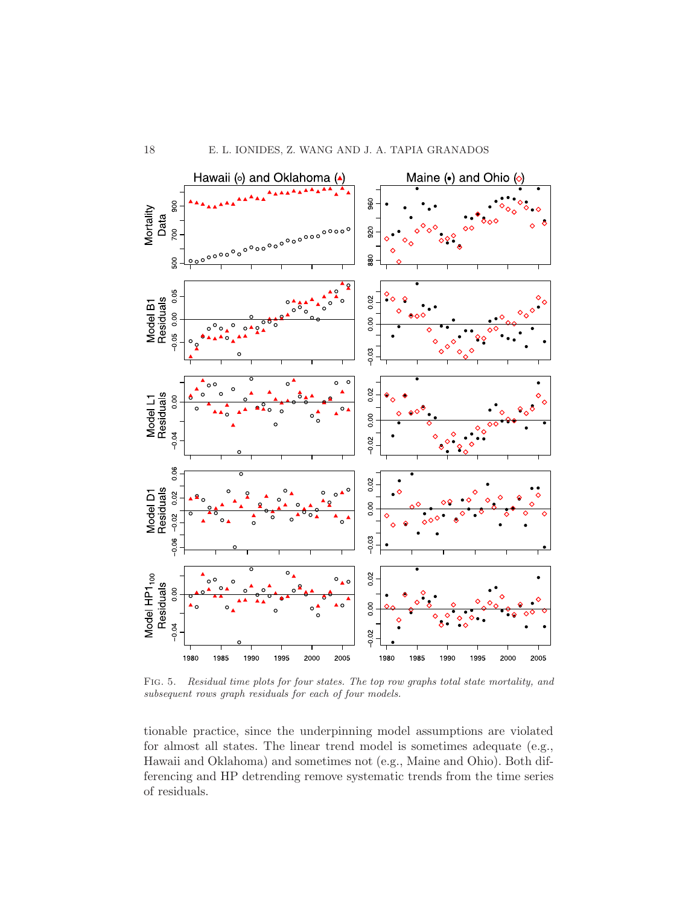

<span id="page-17-0"></span>Fig. 5. Residual time plots for four states. The top row graphs total state mortality, and subsequent rows graph residuals for each of four models.

tionable practice, since the underpinning model assumptions are violated for almost all states. The linear trend model is sometimes adequate (e.g., Hawaii and Oklahoma) and sometimes not (e.g., Maine and Ohio). Both differencing and HP detrending remove systematic trends from the time series of residuals.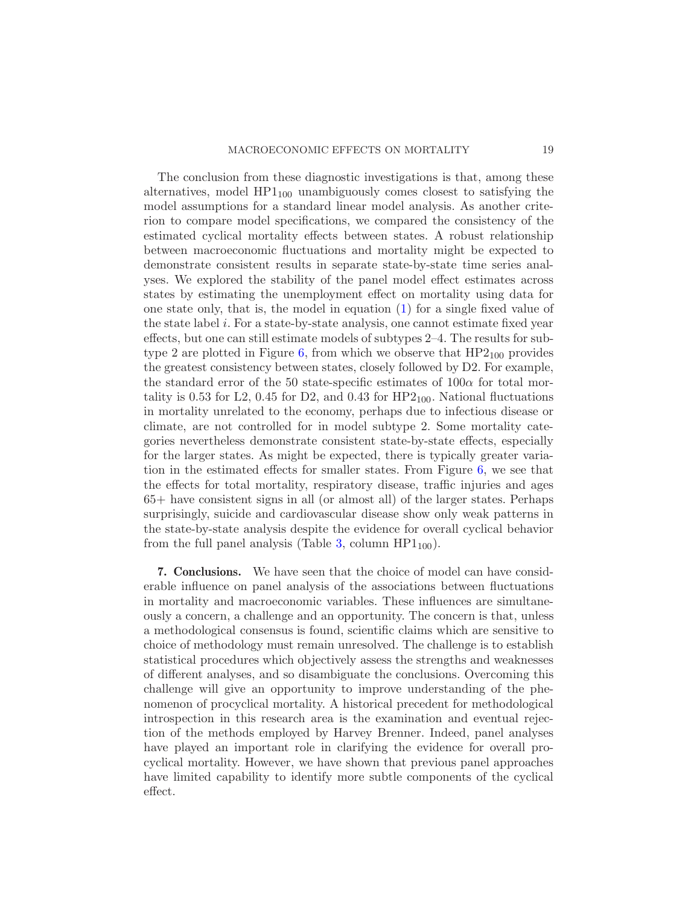The conclusion from these diagnostic investigations is that, among these alternatives, model  $HP1_{100}$  unambiguously comes closest to satisfying the model assumptions for a standard linear model analysis. As another criterion to compare model specifications, we compared the consistency of the estimated cyclical mortality effects between states. A robust relationship between macroeconomic fluctuations and mortality might be expected to demonstrate consistent results in separate state-by-state time series analyses. We explored the stability of the panel model effect estimates across states by estimating the unemployment effect on mortality using data for one state only, that is, the model in equation [\(1\)](#page-4-2) for a single fixed value of the state label i. For a state-by-state analysis, one cannot estimate fixed year effects, but one can still estimate models of subtypes 2–4. The results for sub-type 2 are plotted in Figure [6,](#page-19-0) from which we observe that  $HP2_{100}$  provides the greatest consistency between states, closely followed by D2. For example, the standard error of the 50 state-specific estimates of  $100\alpha$  for total mortality is 0.53 for L2, 0.45 for D2, and 0.43 for  $HP2_{100}$ . National fluctuations in mortality unrelated to the economy, perhaps due to infectious disease or climate, are not controlled for in model subtype 2. Some mortality categories nevertheless demonstrate consistent state-by-state effects, especially for the larger states. As might be expected, there is typically greater variation in the estimated effects for smaller states. From Figure [6,](#page-19-0) we see that the effects for total mortality, respiratory disease, traffic injuries and ages 65+ have consistent signs in all (or almost all) of the larger states. Perhaps surprisingly, suicide and cardiovascular disease show only weak patterns in the state-by-state analysis despite the evidence for overall cyclical behavior from the full panel analysis (Table [3,](#page-12-0) column  $HP1_{100}$ ).

<span id="page-18-0"></span>7. Conclusions. We have seen that the choice of model can have considerable influence on panel analysis of the associations between fluctuations in mortality and macroeconomic variables. These influences are simultaneously a concern, a challenge and an opportunity. The concern is that, unless a methodological consensus is found, scientific claims which are sensitive to choice of methodology must remain unresolved. The challenge is to establish statistical procedures which objectively assess the strengths and weaknesses of different analyses, and so disambiguate the conclusions. Overcoming this challenge will give an opportunity to improve understanding of the phenomenon of procyclical mortality. A historical precedent for methodological introspection in this research area is the examination and eventual rejection of the methods employed by Harvey Brenner. Indeed, panel analyses have played an important role in clarifying the evidence for overall procyclical mortality. However, we have shown that previous panel approaches have limited capability to identify more subtle components of the cyclical effect.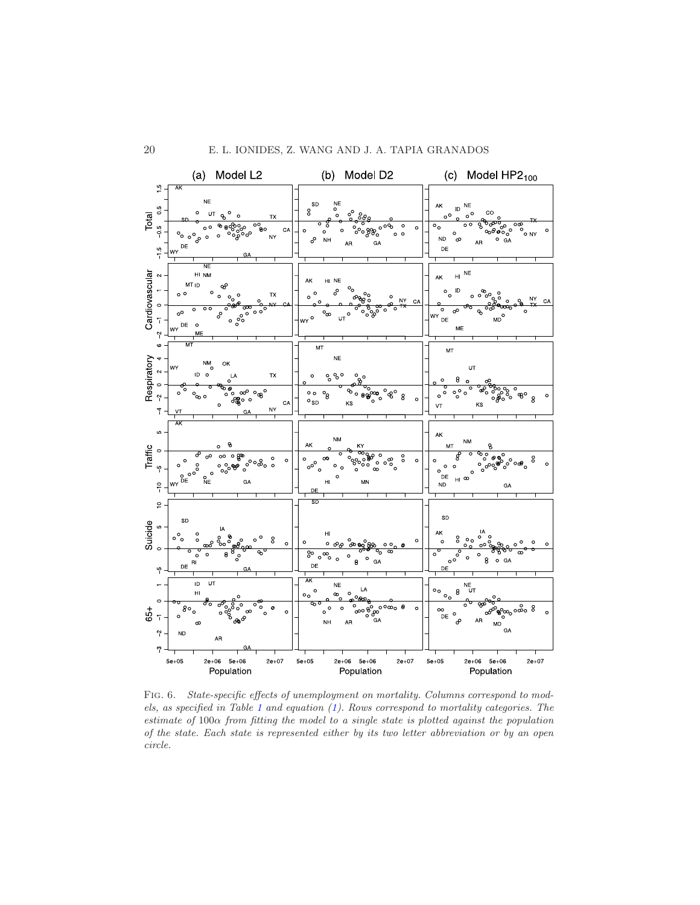

<span id="page-19-0"></span>FIG. 6. State-specific effects of unemployment on mortality. Columns correspond to models, as specified in Table [1](#page-5-0) and equation [\(1\)](#page-4-2). Rows correspond to mortality categories. The estimate of 100α from fitting the model to a single state is plotted against the population of the state. Each state is represented either by its two letter abbreviation or by an open circle.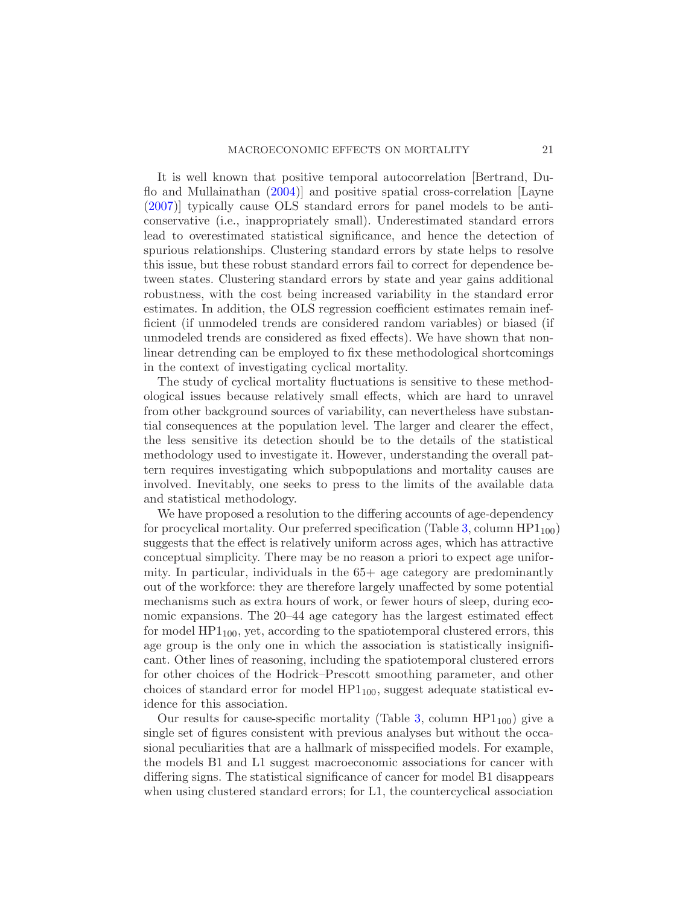It is well known that positive temporal autocorrelation [Bertrand, Duflo and Mullainathan [\(2004](#page-23-7))] and positive spatial cross-correlation [Layne [\(2007\)](#page-24-20)] typically cause OLS standard errors for panel models to be anticonservative (i.e., inappropriately small). Underestimated standard errors lead to overestimated statistical significance, and hence the detection of spurious relationships. Clustering standard errors by state helps to resolve this issue, but these robust standard errors fail to correct for dependence between states. Clustering standard errors by state and year gains additional robustness, with the cost being increased variability in the standard error estimates. In addition, the OLS regression coefficient estimates remain inefficient (if unmodeled trends are considered random variables) or biased (if unmodeled trends are considered as fixed effects). We have shown that nonlinear detrending can be employed to fix these methodological shortcomings in the context of investigating cyclical mortality.

The study of cyclical mortality fluctuations is sensitive to these methodological issues because relatively small effects, which are hard to unravel from other background sources of variability, can nevertheless have substantial consequences at the population level. The larger and clearer the effect, the less sensitive its detection should be to the details of the statistical methodology used to investigate it. However, understanding the overall pattern requires investigating which subpopulations and mortality causes are involved. Inevitably, one seeks to press to the limits of the available data and statistical methodology.

We have proposed a resolution to the differing accounts of age-dependency for procyclical mortality. Our preferred specification (Table [3,](#page-12-0) column  $HP1_{100}$ ) suggests that the effect is relatively uniform across ages, which has attractive conceptual simplicity. There may be no reason a priori to expect age uniformity. In particular, individuals in the 65+ age category are predominantly out of the workforce: they are therefore largely unaffected by some potential mechanisms such as extra hours of work, or fewer hours of sleep, during economic expansions. The 20–44 age category has the largest estimated effect for model  $HP1_{100}$ , yet, according to the spatiotemporal clustered errors, this age group is the only one in which the association is statistically insignificant. Other lines of reasoning, including the spatiotemporal clustered errors for other choices of the Hodrick–Prescott smoothing parameter, and other choices of standard error for model  $HP1_{100}$ , suggest adequate statistical evidence for this association.

Our results for cause-specific mortality (Table [3,](#page-12-0) column  $HP1_{100}$ ) give a single set of figures consistent with previous analyses but without the occasional peculiarities that are a hallmark of misspecified models. For example, the models B1 and L1 suggest macroeconomic associations for cancer with differing signs. The statistical significance of cancer for model B1 disappears when using clustered standard errors; for L1, the countercyclical association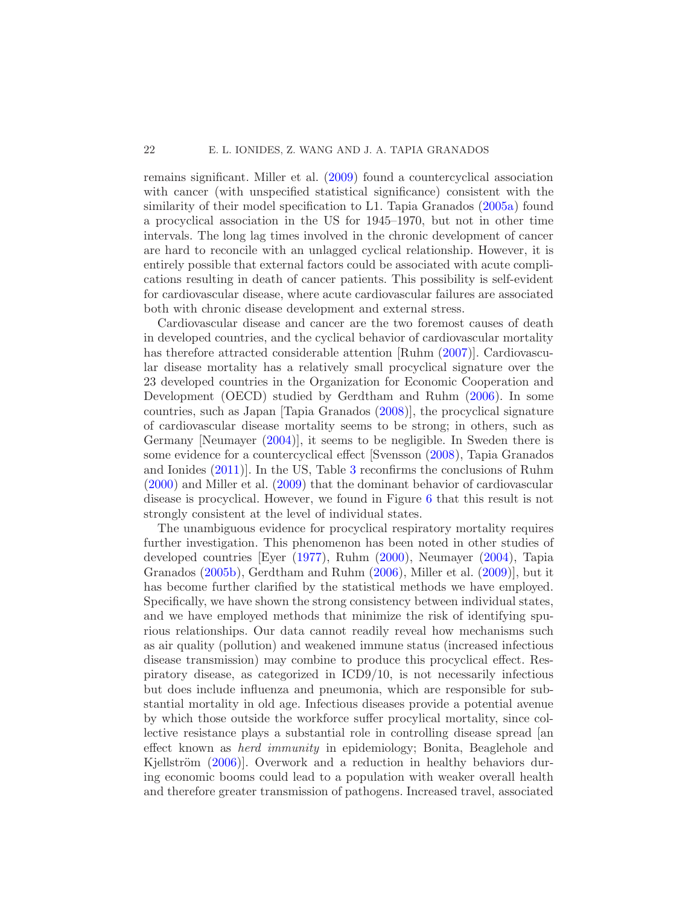remains significant. Miller et al. [\(2009](#page-24-8)) found a countercyclical association with cancer (with unspecified statistical significance) consistent with the similarity of their model specification to L1. Tapia Granados [\(2005a](#page-25-3)) found a procyclical association in the US for 1945–1970, but not in other time intervals. The long lag times involved in the chronic development of cancer are hard to reconcile with an unlagged cyclical relationship. However, it is entirely possible that external factors could be associated with acute complications resulting in death of cancer patients. This possibility is self-evident for cardiovascular disease, where acute cardiovascular failures are associated both with chronic disease development and external stress.

Cardiovascular disease and cancer are the two foremost causes of death in developed countries, and the cyclical behavior of cardiovascular mortality has therefore attracted considerable attention [Ruhm [\(2007](#page-24-6))]. Cardiovascular disease mortality has a relatively small procyclical signature over the 23 developed countries in the Organization for Economic Cooperation and Development (OECD) studied by Gerdtham and Ruhm [\(2006\)](#page-23-3). In some countries, such as Japan [Tapia Granados [\(2008\)](#page-25-5)], the procyclical signature of cardiovascular disease mortality seems to be strong; in others, such as Germany [Neumayer [\(2004](#page-24-7))], it seems to be negligible. In Sweden there is some evidence for a countercyclical effect [Svensson [\(2008](#page-24-21)), Tapia Granados and Ionides [\(2011](#page-25-1))]. In the US, Table [3](#page-12-0) reconfirms the conclusions of Ruhm [\(2000\)](#page-24-4) and Miller et al. [\(2009](#page-24-8)) that the dominant behavior of cardiovascular disease is procyclical. However, we found in Figure [6](#page-19-0) that this result is not strongly consistent at the level of individual states.

The unambiguous evidence for procyclical respiratory mortality requires further investigation. This phenomenon has been noted in other studies of developed countries [Eyer [\(1977](#page-23-14)), Ruhm [\(2000](#page-24-4)), Neumayer [\(2004](#page-24-7)), Tapia Granados [\(2005b\)](#page-25-2), Gerdtham and Ruhm [\(2006](#page-23-3)), Miller et al. [\(2009](#page-24-8))], but it has become further clarified by the statistical methods we have employed. Specifically, we have shown the strong consistency between individual states, and we have employed methods that minimize the risk of identifying spurious relationships. Our data cannot readily reveal how mechanisms such as air quality (pollution) and weakened immune status (increased infectious disease transmission) may combine to produce this procyclical effect. Respiratory disease, as categorized in ICD9/10, is not necessarily infectious but does include influenza and pneumonia, which are responsible for substantial mortality in old age. Infectious diseases provide a potential avenue by which those outside the workforce suffer procylical mortality, since collective resistance plays a substantial role in controlling disease spread [an effect known as herd immunity in epidemiology; Bonita, Beaglehole and Kjellström  $(2006)$ . Overwork and a reduction in healthy behaviors during economic booms could lead to a population with weaker overall health and therefore greater transmission of pathogens. Increased travel, associated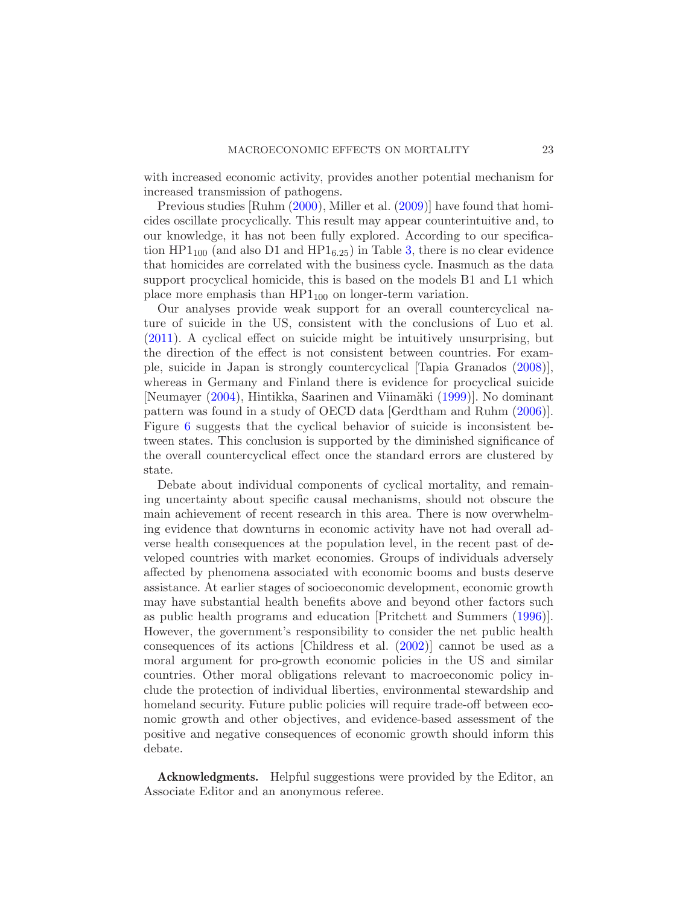with increased economic activity, provides another potential mechanism for increased transmission of pathogens.

Previous studies [Ruhm [\(2000](#page-24-4)), Miller et al. [\(2009\)](#page-24-8)] have found that homicides oscillate procyclically. This result may appear counterintuitive and, to our knowledge, it has not been fully explored. According to our specification  $HP1_{100}$  (and also D1 and  $HP1_{6.25}$ ) in Table [3,](#page-12-0) there is no clear evidence that homicides are correlated with the business cycle. Inasmuch as the data support procyclical homicide, this is based on the models B1 and L1 which place more emphasis than  $HP1_{100}$  on longer-term variation.

Our analyses provide weak support for an overall countercyclical nature of suicide in the US, consistent with the conclusions of Luo et al. [\(2011\)](#page-24-18). A cyclical effect on suicide might be intuitively unsurprising, but the direction of the effect is not consistent between countries. For example, suicide in Japan is strongly countercyclical [Tapia Granados [\(2008](#page-25-5))], whereas in Germany and Finland there is evidence for procyclical suicide [Neumayer [\(2004](#page-24-7)), Hintikka, Saarinen and Viinamäki [\(1999](#page-24-22))]. No dominant pattern was found in a study of OECD data [Gerdtham and Ruhm [\(2006](#page-23-3))]. Figure [6](#page-19-0) suggests that the cyclical behavior of suicide is inconsistent between states. This conclusion is supported by the diminished significance of the overall countercyclical effect once the standard errors are clustered by state.

Debate about individual components of cyclical mortality, and remaining uncertainty about specific causal mechanisms, should not obscure the main achievement of recent research in this area. There is now overwhelming evidence that downturns in economic activity have not had overall adverse health consequences at the population level, in the recent past of developed countries with market economies. Groups of individuals adversely affected by phenomena associated with economic booms and busts deserve assistance. At earlier stages of socioeconomic development, economic growth may have substantial health benefits above and beyond other factors such as public health programs and education [Pritchett and Summers [\(1996](#page-24-23))]. However, the government's responsibility to consider the net public health consequences of its actions [Childress et al. [\(2002](#page-23-17))] cannot be used as a moral argument for pro-growth economic policies in the US and similar countries. Other moral obligations relevant to macroeconomic policy include the protection of individual liberties, environmental stewardship and homeland security. Future public policies will require trade-off between economic growth and other objectives, and evidence-based assessment of the positive and negative consequences of economic growth should inform this debate.

**Acknowledgments.** Helpful suggestions were provided by the Editor, an Associate Editor and an anonymous referee.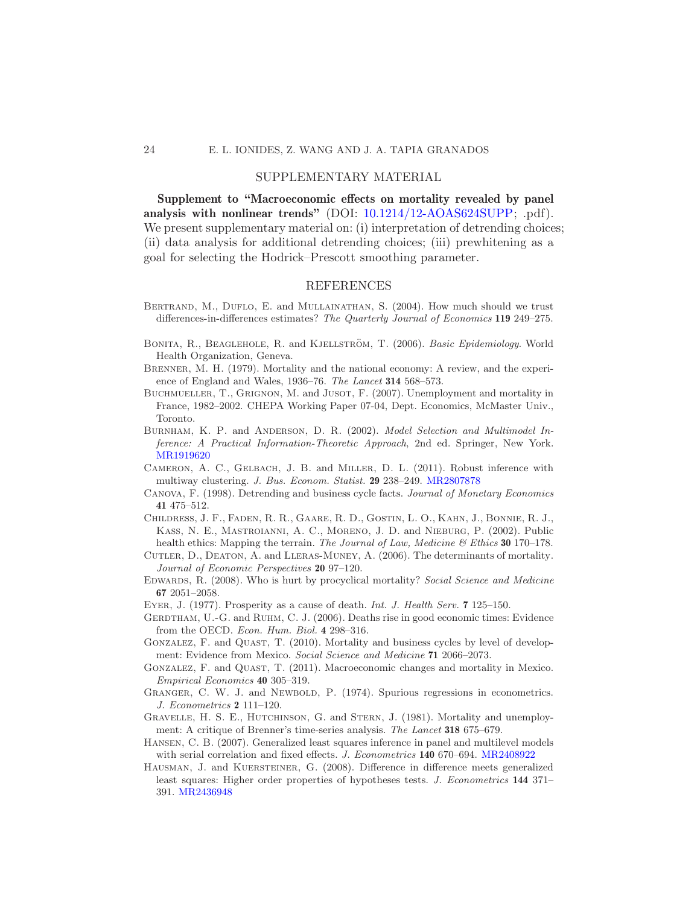## 24 E. L. IONIDES, Z. WANG AND J. A. TAPIA GRANADOS

# SUPPLEMENTARY MATERIAL

Supplement to "Macroeconomic effects on mortality revealed by panel analysis with nonlinear trends" (DOI: [10.1214/12-AOAS624SUPP;](http://dx.doi.org/10.1214/12-AOAS624SUPP) .pdf). We present supplementary material on: (i) interpretation of detrending choices; (ii) data analysis for additional detrending choices; (iii) prewhitening as a goal for selecting the Hodrick–Prescott smoothing parameter.

#### REFERENCES

- <span id="page-23-7"></span>BERTRAND, M., DUFLO, E. and MULLAINATHAN, S. (2004). How much should we trust differences-in-differences estimates? The Quarterly Journal of Economics 119 249–275.
- <span id="page-23-16"></span>BONITA, R., BEAGLEHOLE, R. and KJELLSTRÖM, T. (2006). Basic Epidemiology. World Health Organization, Geneva.
- <span id="page-23-0"></span>Brenner, M. H. (1979). Mortality and the national economy: A review, and the experience of England and Wales, 1936–76. The Lancet 314 568–573.
- <span id="page-23-4"></span>BUCHMUELLER, T., GRIGNON, M. and JUSOT, F. (2007). Unemployment and mortality in France, 1982–2002. CHEPA Working Paper 07-04, Dept. Economics, McMaster Univ., Toronto.
- <span id="page-23-12"></span>Burnham, K. P. and Anderson, D. R. (2002). Model Selection and Multimodel Inference: A Practical Information-Theoretic Approach, 2nd ed. Springer, New York. [MR1919620](http://www.ams.org/mathscinet-getitem?mr=1919620)
- <span id="page-23-13"></span>Cameron, A. C., Gelbach, J. B. and Miller, D. L. (2011). Robust inference with multiway clustering. J. Bus. Econom. Statist. 29 238–249. [MR2807878](http://www.ams.org/mathscinet-getitem?mr=2807878)
- <span id="page-23-15"></span>Canova, F. (1998). Detrending and business cycle facts. Journal of Monetary Economics 41 475–512.
- <span id="page-23-17"></span>Childress, J. F., Faden, R. R., Gaare, R. D., Gostin, L. O., Kahn, J., Bonnie, R. J., Kass, N. E., Mastroianni, A. C., Moreno, J. D. and Nieburg, P. (2002). Public health ethics: Mapping the terrain. The Journal of Law, Medicine  $\mathcal B$  Ethics 30 170–178.
- <span id="page-23-2"></span>Cutler, D., Deaton, A. and Lleras-Muney, A. (2006). The determinants of mortality. Journal of Economic Perspectives 20 97–120.
- <span id="page-23-8"></span>Edwards, R. (2008). Who is hurt by procyclical mortality? Social Science and Medicine 67 2051–2058.
- <span id="page-23-14"></span>EYER, J. (1977). Prosperity as a cause of death. Int. J. Health Serv. 7 125–150.
- <span id="page-23-3"></span>GERDTHAM, U.-G. and RUHM, C. J. (2006). Deaths rise in good economic times: Evidence from the OECD. Econ. Hum. Biol. 4 298–316.
- <span id="page-23-5"></span>GONZALEZ, F. and QUAST, T. (2010). Mortality and business cycles by level of development: Evidence from Mexico. Social Science and Medicine 71 2066–2073.
- <span id="page-23-6"></span>Gonzalez, F. and Quast, T. (2011). Macroeconomic changes and mortality in Mexico. Empirical Economics 40 305–319.
- <span id="page-23-11"></span>Granger, C. W. J. and Newbold, P. (1974). Spurious regressions in econometrics. J. Econometrics 2 111–120.
- <span id="page-23-1"></span>GRAVELLE, H. S. E., HUTCHINSON, G. and STERN, J. (1981). Mortality and unemployment: A critique of Brenner's time-series analysis. The Lancet 318 675–679.
- <span id="page-23-10"></span>Hansen, C. B. (2007). Generalized least squares inference in panel and multilevel models with serial correlation and fixed effects. J. Econometrics 140 670–694. [MR2408922](http://www.ams.org/mathscinet-getitem?mr=2408922)
- <span id="page-23-9"></span>Hausman, J. and Kuersteiner, G. (2008). Difference in difference meets generalized least squares: Higher order properties of hypotheses tests. J. Econometrics 144 371– 391. [MR2436948](http://www.ams.org/mathscinet-getitem?mr=2436948)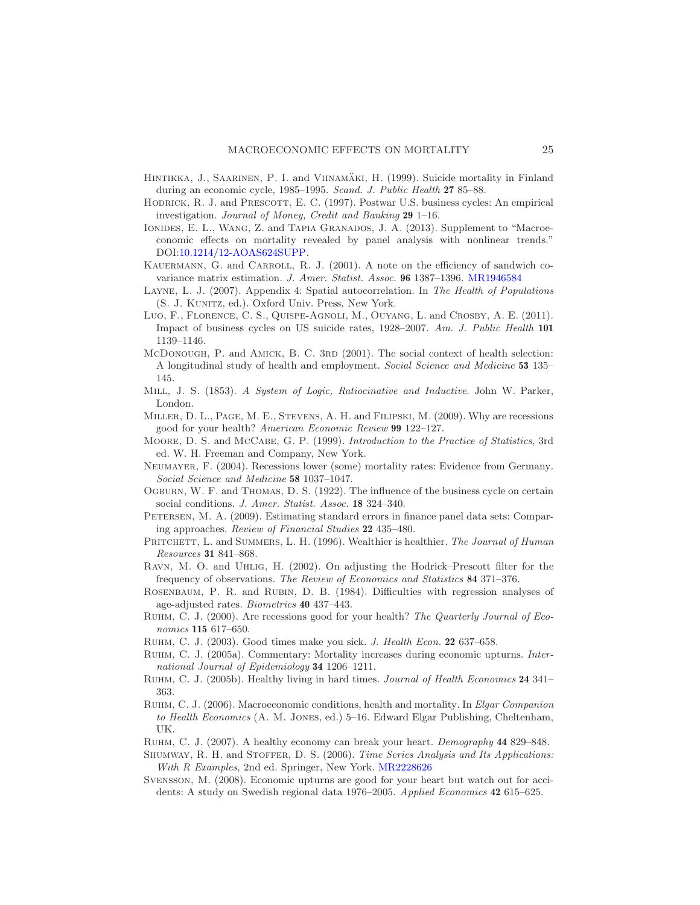- <span id="page-24-22"></span>HINTIKKA, J., SAARINEN, P. I. and VIINAMÄKI, H. (1999). Suicide mortality in Finland during an economic cycle, 1985–1995. Scand. J. Public Health 27 85–88.
- <span id="page-24-12"></span>HODRICK, R. J. and PRESCOTT, E. C. (1997). Postwar U.S. business cycles: An empirical investigation. Journal of Money, Credit and Banking 29 1–16.
- <span id="page-24-13"></span>IONIDES, E. L., WANG, Z. and TAPIA GRANADOS, J. A. (2013). Supplement to "Macroeconomic effects on mortality revealed by panel analysis with nonlinear trends." DOI[:10.1214/12-AOAS624SUPP.](http://dx.doi.org/10.1214/12-AOAS624SUPP)
- <span id="page-24-14"></span>KAUERMANN, G. and CARROLL, R. J. (2001). A note on the efficiency of sandwich covariance matrix estimation. J. Amer. Statist. Assoc. 96 1387–1396. [MR1946584](http://www.ams.org/mathscinet-getitem?mr=1946584)
- <span id="page-24-20"></span>LAYNE, L. J. (2007). Appendix 4: Spatial autocorrelation. In The Health of Populations (S. J. Kunitz, ed.). Oxford Univ. Press, New York.
- <span id="page-24-18"></span>Luo, F., FLORENCE, C. S., QUISPE-AGNOLI, M., OUYANG, L. and CROSBY, A. E. (2011). Impact of business cycles on US suicide rates, 1928–2007. Am. J. Public Health 101 1139–1146.
- <span id="page-24-3"></span>McDonough, P. and AMICK, B. C. 3RD (2001). The social context of health selection: A longitudinal study of health and employment. Social Science and Medicine 53 135– 145.
- <span id="page-24-17"></span>Mill, J. S. (1853). A System of Logic, Ratiocinative and Inductive. John W. Parker, London.
- <span id="page-24-8"></span>Miller, D. L., Page, M. E., Stevens, A. H. and Filipski, M. (2009). Why are recessions good for your health? American Economic Review 99 122–127.
- <span id="page-24-19"></span>Moore, D. S. and McCabe, G. P. (1999). Introduction to the Practice of Statistics, 3rd ed. W. H. Freeman and Company, New York.
- <span id="page-24-7"></span>Neumayer, F. (2004). Recessions lower (some) mortality rates: Evidence from Germany. Social Science and Medicine 58 1037–1047.
- <span id="page-24-0"></span>Ogburn, W. F. and Thomas, D. S. (1922). The influence of the business cycle on certain social conditions. J. Amer. Statist. Assoc. 18 324-340.
- <span id="page-24-10"></span>PETERSEN, M. A. (2009). Estimating standard errors in finance panel data sets: Comparing approaches. Review of Financial Studies 22 435–480.
- <span id="page-24-23"></span>PRITCHETT, L. and SUMMERS, L. H. (1996). Wealthier is healthier. The Journal of Human Resources 31 841–868.
- <span id="page-24-16"></span>Ravn, M. O. and Uhlig, H. (2002). On adjusting the Hodrick–Prescott filter for the frequency of observations. The Review of Economics and Statistics 84 371–376.
- <span id="page-24-11"></span>Rosenbaum, P. R. and Rubin, D. B. (1984). Difficulties with regression analyses of age-adjusted rates. Biometrics 40 437–443.
- <span id="page-24-4"></span>RUHM, C. J. (2000). Are recessions good for your health? The Quarterly Journal of Economics 115 617–650.
- <span id="page-24-1"></span>RUHM, C. J. (2003). Good times make you sick. J. Health Econ. 22 637-658.
- <span id="page-24-9"></span>Ruhm, C. J. (2005a). Commentary: Mortality increases during economic upturns. International Journal of Epidemiology 34 1206–1211.
- <span id="page-24-2"></span>RUHM, C. J. (2005b). Healthy living in hard times. Journal of Health Economics 24 341– 363.
- <span id="page-24-5"></span>RUHM, C. J. (2006). Macroeconomic conditions, health and mortality. In Elgar Companion to Health Economics (A. M. Jones, ed.) 5–16. Edward Elgar Publishing, Cheltenham, UK.
- <span id="page-24-6"></span>Ruhm, C. J. (2007). A healthy economy can break your heart. Demography 44 829–848.
- <span id="page-24-15"></span>SHUMWAY, R. H. and STOFFER, D. S. (2006). Time Series Analysis and Its Applications: With R Examples, 2nd ed. Springer, New York. [MR2228626](http://www.ams.org/mathscinet-getitem?mr=2228626)
- <span id="page-24-21"></span>Svensson, M. (2008). Economic upturns are good for your heart but watch out for accidents: A study on Swedish regional data 1976–2005. Applied Economics 42 615–625.